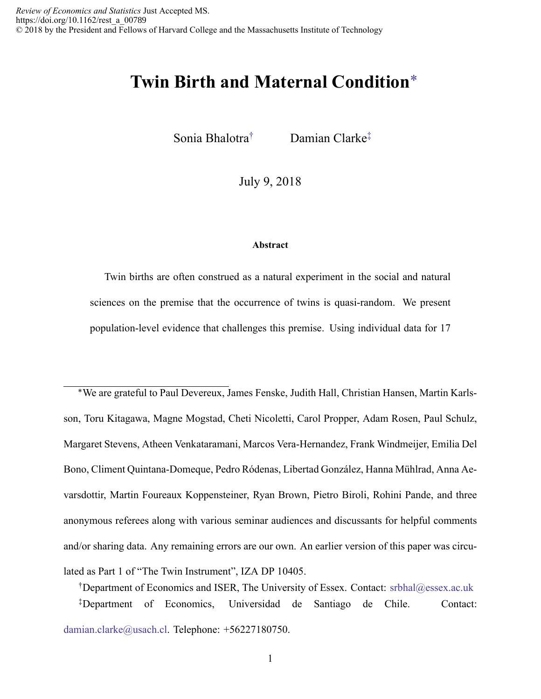# **Twin Birth and Maternal Condition**\*

Sonia Bhalotra† Damian Clarke‡

July 9, 2018

#### **Abstract**

Twin births are often construed as a natural experiment in the social and natural sciences on the premise that the occurrence of twins is quasi-random. We present population-level evidence that challenges this premise. Using individual data for 17

\*We are grateful to Paul Devereux, James Fenske, Judith Hall, Christian Hansen, Martin Karlsson, Toru Kitagawa, Magne Mogstad, Cheti Nicoletti, Carol Propper, Adam Rosen, Paul Schulz, Margaret Stevens, Atheen Venkataramani, Marcos Vera-Hernandez, Frank Windmeijer, Emilia Del Bono, Climent Quintana-Domeque, Pedro Ródenas, Libertad González, Hanna Mühlrad, Anna Aevarsdottir, Martin Foureaux Koppensteiner, Ryan Brown, Pietro Biroli, Rohini Pande, and three anonymous referees along with various seminar audiences and discussants for helpful comments and/or sharing data. Any remaining errors are our own. An earlier version of this paper was circulated as Part 1 of "The Twin Instrument", IZA DP 10405.

†Department of Economics and ISER, The University of Essex. Contact: [srbhal@essex.ac.uk](mailto:srbhal@essex.ac.uk) ‡Department of Economics, Universidad de Santiago de Chile. Contact: [damian.clarke@usach.cl](mailto:damian.clarke@usach.cl). Telephone: +56227180750.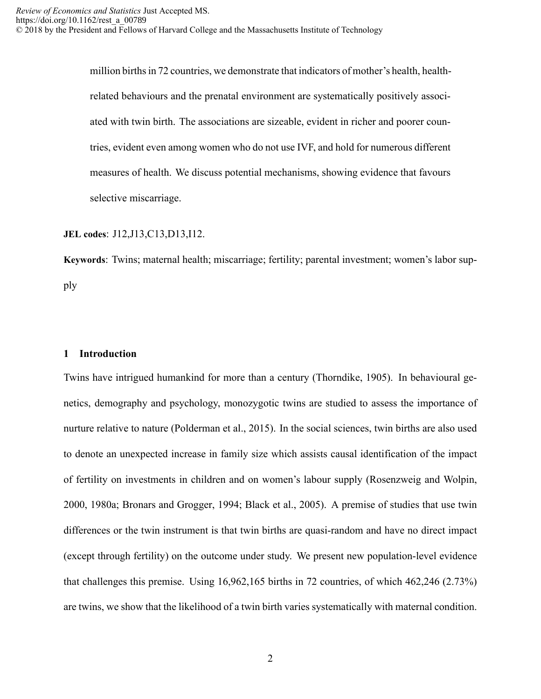million births in 72 countries, we demonstrate that indicators of mother's health, healthrelated behaviours and the prenatal environment are systematically positively associated with twin birth. The associations are sizeable, evident in richer and poorer countries, evident even among women who do not use IVF, and hold for numerous different measures of health. We discuss potential mechanisms, showing evidence that favours selective miscarriage.

## **JEL codes**: J12,J13,C13,D13,I12.

**Keywords**: Twins; maternal health; miscarriage; fertility; parental investment; women's labor supply

### **1 Introduction**

Twins have intrigued humankind for more than a century([Thorndike,](#page-29-0) [1905](#page-29-0)). In behavioural genetics, demography and psychology, monozygotic twins are studied to assess the importance of nurture relative to nature([Polderman et al.,](#page-28-0) [2015](#page-28-0)). In the social sciences, twin births are also used to denote an unexpected increase in family size which assists causal identification of the impact of fertility on investments in children and on women's labour supply [\(Rosenzweig and Wolpin](#page-29-1), [2000,](#page-29-1) [1980a;](#page-29-2) [Bronars and Grogger](#page-25-0), [1994;](#page-25-0) [Black et al.](#page-24-0), [2005\)](#page-24-0). A premise of studies that use twin differences or the twin instrument is that twin births are quasi-random and have no direct impact (except through fertility) on the outcome under study. We present new population-level evidence that challenges this premise. Using 16,962,165 births in 72 countries, of which 462,246 (2.73%) are twins, we show that the likelihood of a twin birth varies systematically with maternal condition.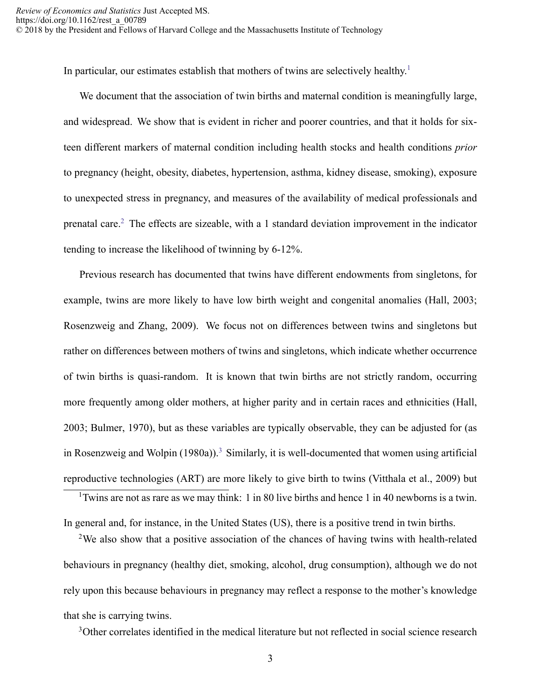In particular, our estimates establish that mothers of twins are selectively healthy.<sup>1</sup>

We document that the association of twin births and maternal condition is meaningfully large, and widespread. We show that is evident in richer and poorer countries, and that it holds for sixteen different markers of maternal condition including health stocks and health conditions *prior* to pregnancy (height, obesity, diabetes, hypertension, asthma, kidney disease, smoking), exposure to unexpected stress in pregnancy, and measures of the availability of medical professionals and prenatal care.2 The effects are sizeable, with a 1 standard deviation improvement in the indicator tending to increase the likelihood of twinning by 6-12%.

Previous research has documented that twins have different endowments from singletons, for example, twins are more likely to have low birth weight and congenital anomalies [\(Hall,](#page-27-0) [2003;](#page-27-0) [Rosenzweig and Zhang,](#page-29-3) [2009](#page-29-3)). We focus not on differences between twins and singletons but rather on differences between mothers of twins and singletons, which indicate whether occurrence of twin births is quasi-random. It is known that twin births are not strictly random, occurring more frequently among older mothers, at higher parity and in certain races and ethnicities [\(Hall](#page-27-0), [2003;](#page-27-0) [Bulmer](#page-25-1), [1970\)](#page-25-1), but as these variables are typically observable, they can be adjusted for (as in [Rosenzweig and Wolpin](#page-29-2) [\(1980a\)](#page-29-2)).<sup>3</sup> Similarly, it is well-documented that women using artificial reproductive technologies (ART) are more likely to give birth to twins [\(Vitthala et al.,](#page-30-0) [2009](#page-30-0)) but

 $1$ <sup>1</sup>Twins are not as rare as we may think: 1 in 80 live births and hence 1 in 40 newborns is a twin. In general and, for instance, in the United States (US), there is a positive trend in twin births.

<sup>2</sup>We also show that a positive association of the chances of having twins with health-related behaviours in pregnancy (healthy diet, smoking, alcohol, drug consumption), although we do not rely upon this because behaviours in pregnancy may reflect a response to the mother's knowledge that she is carrying twins.

<sup>3</sup>Other correlates identified in the medical literature but not reflected in social science research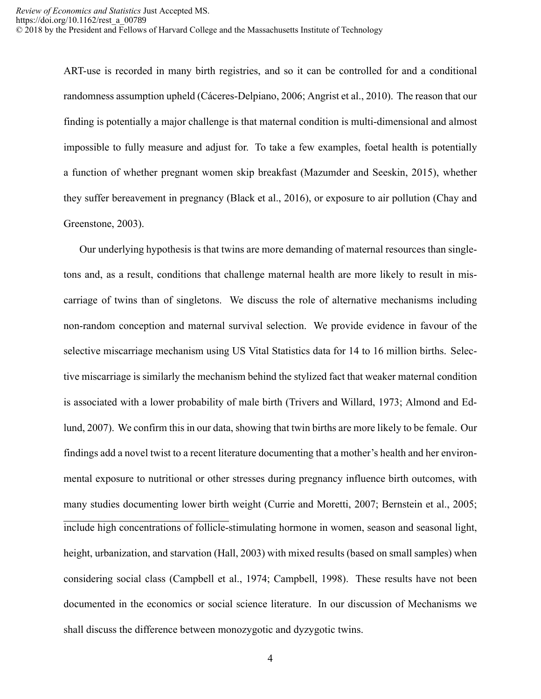ART-use is recorded in many birth registries, and so it can be controlled for and a conditional randomness assumption upheld [\(Cáceres-Delpiano,](#page-25-2) [2006](#page-25-2); [Angrist et al.](#page-24-1), [2010](#page-24-1)). The reason that our finding is potentially a major challenge is that maternal condition is multi-dimensional and almost impossible to fully measure and adjust for. To take a few examples, foetal health is potentially a function of whether pregnant women skip breakfast [\(Mazumder and Seeskin,](#page-28-1) [2015\)](#page-28-1), whether they suffer bereavement in pregnancy([Black et al.](#page-25-3), [2016](#page-25-3)), or exposure to air pollution [\(Chay and](#page-26-0) [Greenstone](#page-26-0), [2003](#page-26-0)).

Our underlying hypothesis is that twins are more demanding of maternal resources than singletons and, as a result, conditions that challenge maternal health are more likely to result in miscarriage of twins than of singletons. We discuss the role of alternative mechanisms including non-random conception and maternal survival selection. We provide evidence in favour of the selective miscarriage mechanism using US Vital Statistics data for 14 to 16 million births. Selective miscarriage is similarly the mechanism behind the stylized fact that weaker maternal condition is associated with a lower probability of male birth [\(Trivers and Willard,](#page-29-4) [1973](#page-29-4); [Almond and Ed](#page-23-0)[lund](#page-23-0), [2007\)](#page-23-0). We confirm this in our data, showing that twin births are more likely to be female. Our findings add a novel twist to a recent literature documenting that a mother's health and her environmental exposure to nutritional or other stresses during pregnancy influence birth outcomes, with many studies documenting lower birth weight [\(Currie and Moretti,](#page-26-1) [2007](#page-26-1); [Bernstein et al.,](#page-24-2) [2005;](#page-24-2) include high concentrations of follicle-stimulating hormone in women, season and seasonal light, height, urbanization, and starvation [\(Hall,](#page-27-0) [2003](#page-27-0)) with mixed results (based on small samples) when considering social class([Campbell et al.](#page-26-2), [1974](#page-26-2); [Campbell](#page-25-4), [1998\)](#page-25-4). These results have not been documented in the economics or social science literature. In our discussion of Mechanisms we shall discuss the difference between monozygotic and dyzygotic twins.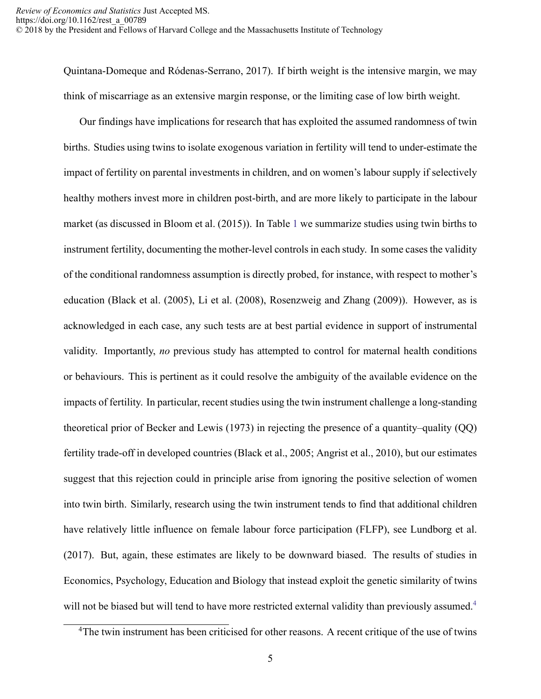[Quintana-Domeque and Ródenas-Serrano](#page-29-5), [2017](#page-29-5)). If birth weight is the intensive margin, we may think of miscarriage as an extensive margin response, or the limiting case of low birth weight.

Our findings have implications for research that has exploited the assumed randomness of twin births. Studies using twins to isolate exogenous variation in fertility will tend to under-estimate the impact of fertility on parental investments in children, and on women's labour supply if selectively healthy mothers invest more in children post-birth, and are more likely to participate in the labour market (as discussed in [Bloom et al.](#page-25-5) ([2015](#page-25-5))). In Table [1](#page-31-0) we summarize studies using twin births to instrument fertility, documenting the mother-level controls in each study. In some cases the validity of the conditional randomness assumption is directly probed, for instance, with respect to mother's education [\(Black et al.](#page-24-0) ([2005\)](#page-24-0), [Li et al.](#page-27-1) ([2008](#page-27-1)), [Rosenzweig and Zhang](#page-29-3) ([2009\)](#page-29-3)). However, as is acknowledged in each case, any such tests are at best partial evidence in support of instrumental validity. Importantly, *no* previous study has attempted to control for maternal health conditions or behaviours. This is pertinent as it could resolve the ambiguity of the available evidence on the impacts of fertility. In particular, recent studies using the twin instrument challenge a long-standing theoretical prior of [Becker and Lewis](#page-24-3) ([1973](#page-24-3)) in rejecting the presence of a quantity–quality (QQ) fertility trade-off in developed countries [\(Black et al.,](#page-24-0) [2005](#page-24-0); [Angrist et al.,](#page-24-1) [2010](#page-24-1)), but our estimates suggest that this rejection could in principle arise from ignoring the positive selection of women into twin birth. Similarly, research using the twin instrument tends to find that additional children have relatively little influence on female labour force participation (FLFP), see [Lundborg et al.](#page-28-2) ([2017\)](#page-28-2). But, again, these estimates are likely to be downward biased. The results of studies in Economics, Psychology, Education and Biology that instead exploit the genetic similarity of twins will not be biased but will tend to have more restricted external validity than previously assumed.<sup>4</sup>

<sup>&</sup>lt;sup>4</sup>The twin instrument has been criticised for other reasons. A recent critique of the use of twins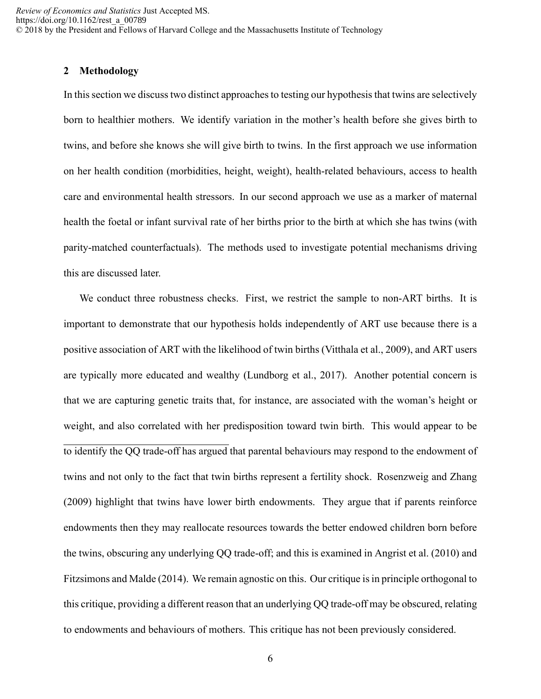*Review of Economics and Statistics* Just Accepted MS. https://doi.org/10.1162/rest\_a\_00789 © 2018 by the President and Fellows of Harvard College and the Massachusetts Institute of Technology

#### <span id="page-5-0"></span>**2 Methodology**

In this section we discuss two distinct approaches to testing our hypothesis that twins are selectively born to healthier mothers. We identify variation in the mother's health before she gives birth to twins, and before she knows she will give birth to twins. In the first approach we use information on her health condition (morbidities, height, weight), health-related behaviours, access to health care and environmental health stressors. In our second approach we use as a marker of maternal health the foetal or infant survival rate of her births prior to the birth at which she has twins (with parity-matched counterfactuals). The methods used to investigate potential mechanisms driving this are discussed later.

We conduct three robustness checks. First, we restrict the sample to non-ART births. It is important to demonstrate that our hypothesis holds independently of ART use because there is a positive association of ART with the likelihood of twin births([Vitthala et al.,](#page-30-0) [2009](#page-30-0)), and ART users are typically more educated and wealthy([Lundborg et al.](#page-28-2), [2017](#page-28-2)). Another potential concern is that we are capturing genetic traits that, for instance, are associated with the woman's height or weight, and also correlated with her predisposition toward twin birth. This would appear to be to identify the QQ trade-off has argued that parental behaviours may respond to the endowment of twins and not only to the fact that twin births represent a fertility shock. [Rosenzweig and Zhang](#page-29-3) ([2009\)](#page-29-3) highlight that twins have lower birth endowments. They argue that if parents reinforce endowments then they may reallocate resources towards the better endowed children born before the twins, obscuring any underlying QQ trade-off; and this is examined in [Angrist et al.](#page-24-1) [\(2010](#page-24-1)) and [Fitzsimons and Malde](#page-26-3) ([2014\)](#page-26-3). We remain agnostic on this. Our critique is in principle orthogonal to this critique, providing a different reason that an underlying QQ trade-off may be obscured, relating to endowments and behaviours of mothers. This critique has not been previously considered.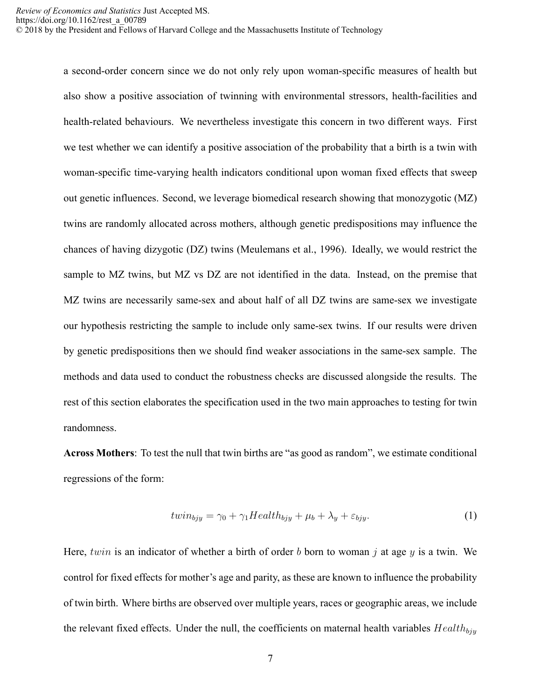a second-order concern since we do not only rely upon woman-specific measures of health but also show a positive association of twinning with environmental stressors, health-facilities and health-related behaviours. We nevertheless investigate this concern in two different ways. First we test whether we can identify a positive association of the probability that a birth is a twin with woman-specific time-varying health indicators conditional upon woman fixed effects that sweep out genetic influences. Second, we leverage biomedical research showing that monozygotic (MZ) twins are randomly allocated across mothers, although genetic predispositions may influence the chances of having dizygotic (DZ) twins [\(Meulemans et al.](#page-28-3), [1996\)](#page-28-3). Ideally, we would restrict the sample to MZ twins, but MZ vs DZ are not identified in the data. Instead, on the premise that MZ twins are necessarily same-sex and about half of all DZ twins are same-sex we investigate our hypothesis restricting the sample to include only same-sex twins. If our results were driven by genetic predispositions then we should find weaker associations in the same-sex sample. The methods and data used to conduct the robustness checks are discussed alongside the results. The rest of this section elaborates the specification used in the two main approaches to testing for twin randomness.

**Across Mothers**: To test the null that twin births are "as good as random", we estimate conditional regressions of the form:

<span id="page-6-0"></span>
$$
twin_{byy} = \gamma_0 + \gamma_1 Health_{byy} + \mu_b + \lambda_y + \varepsilon_{byy}.
$$
\n<sup>(1)</sup>

Here, *twin* is an indicator of whether a birth of order *b* born to woman *j* at age *y* is a twin. We control for fixed effects for mother's age and parity, as these are known to influence the probability of twin birth. Where births are observed over multiple years, races or geographic areas, we include the relevant fixed effects. Under the null, the coefficients on maternal health variables *Healthbjy*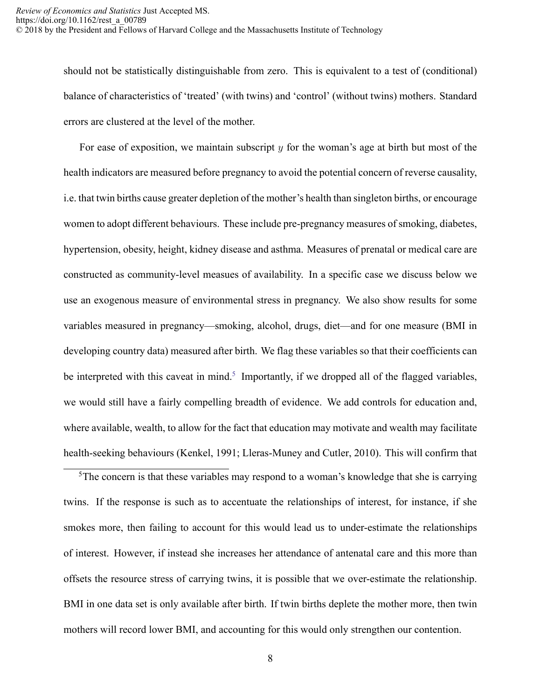should not be statistically distinguishable from zero. This is equivalent to a test of (conditional) balance of characteristics of 'treated' (with twins) and 'control' (without twins) mothers. Standard errors are clustered at the level of the mother.

For ease of exposition, we maintain subscript *y* for the woman's age at birth but most of the health indicators are measured before pregnancy to avoid the potential concern of reverse causality, i.e. that twin births cause greater depletion of the mother's health than singleton births, or encourage women to adopt different behaviours. These include pre-pregnancy measures of smoking, diabetes, hypertension, obesity, height, kidney disease and asthma. Measures of prenatal or medical care are constructed as community-level measues of availability. In a specific case we discuss below we use an exogenous measure of environmental stress in pregnancy. We also show results for some variables measured in pregnancy—smoking, alcohol, drugs, diet—and for one measure (BMI in developing country data) measured after birth. We flag these variables so that their coefficients can be interpreted with this caveat in mind.<sup>5</sup> Importantly, if we dropped all of the flagged variables, we would still have a fairly compelling breadth of evidence. We add controls for education and, where available, wealth, to allow for the fact that education may motivate and wealth may facilitate health-seeking behaviours([Kenkel](#page-27-2), [1991](#page-27-2); [Lleras-Muney and Cutler](#page-27-3), [2010\)](#page-27-3). This will confirm that

 $5$ The concern is that these variables may respond to a woman's knowledge that she is carrying twins. If the response is such as to accentuate the relationships of interest, for instance, if she smokes more, then failing to account for this would lead us to under-estimate the relationships of interest. However, if instead she increases her attendance of antenatal care and this more than offsets the resource stress of carrying twins, it is possible that we over-estimate the relationship. BMI in one data set is only available after birth. If twin births deplete the mother more, then twin mothers will record lower BMI, and accounting for this would only strengthen our contention.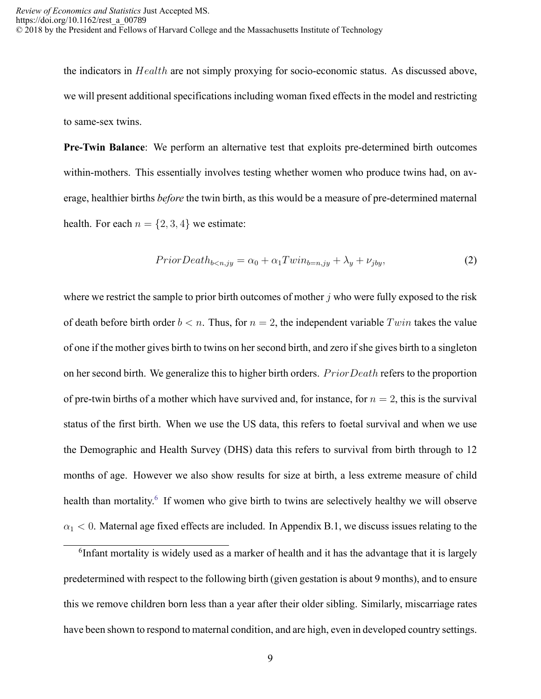the indicators in *Health* are not simply proxying for socio-economic status. As discussed above, we will present additional specifications including woman fixed effects in the model and restricting to same-sex twins.

**Pre-Twin Balance**: We perform an alternative test that exploits pre-determined birth outcomes within-mothers. This essentially involves testing whether women who produce twins had, on average, healthier births *before* the twin birth, as this would be a measure of pre-determined maternal health. For each  $n = \{2, 3, 4\}$  we estimate:

<span id="page-8-0"></span>
$$
Prior Death_{b
$$

where we restrict the sample to prior birth outcomes of mother *j* who were fully exposed to the risk of death before birth order  $b < n$ . Thus, for  $n = 2$ , the independent variable *Twin* takes the value of one if the mother gives birth to twins on her second birth, and zero if she gives birth to a singleton on her second birth. We generalize this to higher birth orders. *P riorDeath* refers to the proportion of pre-twin births of a mother which have survived and, for instance, for  $n = 2$ , this is the survival status of the first birth. When we use the US data, this refers to foetal survival and when we use the Demographic and Health Survey (DHS) data this refers to survival from birth through to 12 months of age. However we also show results for size at birth, a less extreme measure of child health than mortality.<sup>6</sup> If women who give birth to twins are selectively healthy we will observe  $a_1$  < 0. Maternal age fixed effects are included. In Appendix B.1, we discuss issues relating to the

<sup>6</sup>Infant mortality is widely used as a marker of health and it has the advantage that it is largely predetermined with respect to the following birth (given gestation is about 9 months), and to ensure this we remove children born less than a year after their older sibling. Similarly, miscarriage rates have been shown to respond to maternal condition, and are high, even in developed country settings.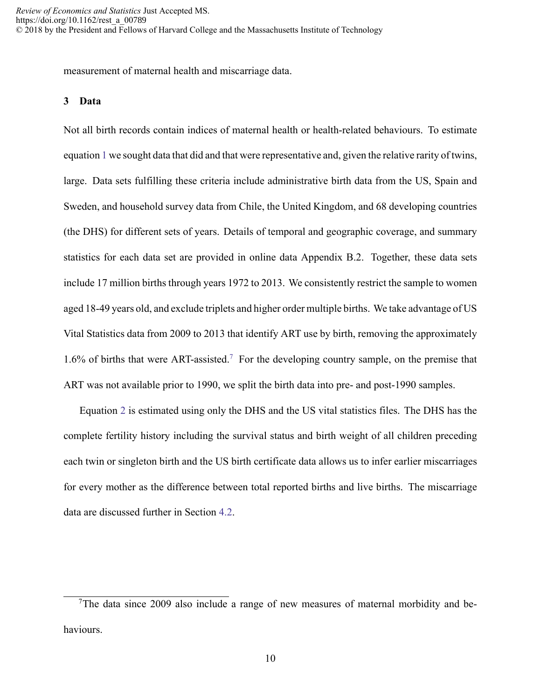measurement of maternal health and miscarriage data.

### **3 Data**

Not all birth records contain indices of maternal health or health-related behaviours. To estimate equation [1](#page-6-0) we sought data that did and that were representative and, given the relative rarity of twins, large. Data sets fulfilling these criteria include administrative birth data from the US, Spain and Sweden, and household survey data from Chile, the United Kingdom, and 68 developing countries (the DHS) for different sets of years. Details of temporal and geographic coverage, and summary statistics for each data set are provided in online data Appendix B.2. Together, these data sets include 17 million births through years 1972 to 2013. We consistently restrict the sample to women aged 18-49 years old, and exclude triplets and higher order multiple births. We take advantage of US Vital Statistics data from 2009 to 2013 that identify ART use by birth, removing the approximately 1.6% of births that were ART-assisted.<sup>7</sup> For the developing country sample, on the premise that ART was not available prior to 1990, we split the birth data into pre- and post-1990 samples.

Equation [2](#page-8-0) is estimated using only the DHS and the US vital statistics files. The DHS has the complete fertility history including the survival status and birth weight of all children preceding each twin or singleton birth and the US birth certificate data allows us to infer earlier miscarriages for every mother as the difference between total reported births and live births. The miscarriage data are discussed further in Section [4.2.](#page-16-0)

<sup>&</sup>lt;sup>7</sup>The data since 2009 also include a range of new measures of maternal morbidity and behaviours.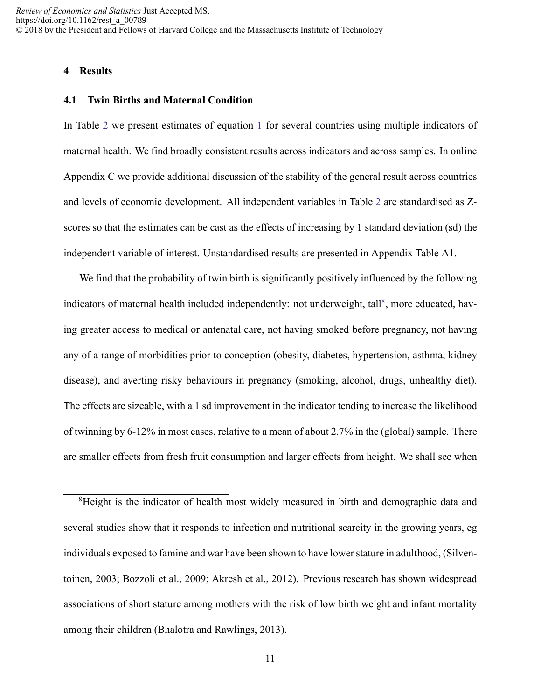*Review of Economics and Statistics* Just Accepted MS. https://doi.org/10.1162/rest\_a\_00789 © 2018 by the President and Fellows of Harvard College and the Massachusetts Institute of Technology

#### **4 Results**

#### **4.1 Twin Births and Maternal Condition**

In Table [2](#page-35-0) we present estimates of equation [1](#page-6-0) for several countries using multiple indicators of maternal health. We find broadly consistent results across indicators and across samples. In online Appendix C we provide additional discussion of the stability of the general result across countries and levels of economic development. All independent variables in Table [2](#page-35-0) are standardised as Zscores so that the estimates can be cast as the effects of increasing by 1 standard deviation (sd) the independent variable of interest. Unstandardised results are presented in Appendix Table A1.

We find that the probability of twin birth is significantly positively influenced by the following indicators of maternal health included independently: not underweight, tall<sup>8</sup>, more educated, having greater access to medical or antenatal care, not having smoked before pregnancy, not having any of a range of morbidities prior to conception (obesity, diabetes, hypertension, asthma, kidney disease), and averting risky behaviours in pregnancy (smoking, alcohol, drugs, unhealthy diet). The effects are sizeable, with a 1 sd improvement in the indicator tending to increase the likelihood of twinning by 6-12% in most cases, relative to a mean of about 2.7% in the (global) sample. There are smaller effects from fresh fruit consumption and larger effects from height. We shall see when

<sup>8</sup>Height is the indicator of health most widely measured in birth and demographic data and several studies show that it responds to infection and nutritional scarcity in the growing years, eg individuals exposed to famine and war have been shown to have lower stature in adulthood, [\(Silven](#page-29-6)[toinen,](#page-29-6) [2003](#page-29-6); [Bozzoli et al.,](#page-25-6) [2009](#page-25-6); [Akresh et al.](#page-23-1), [2012](#page-23-1)). Previous research has shown widespread associations of short stature among mothers with the risk of low birth weight and infant mortality among their children([Bhalotra and Rawlings](#page-24-4), [2013](#page-24-4)).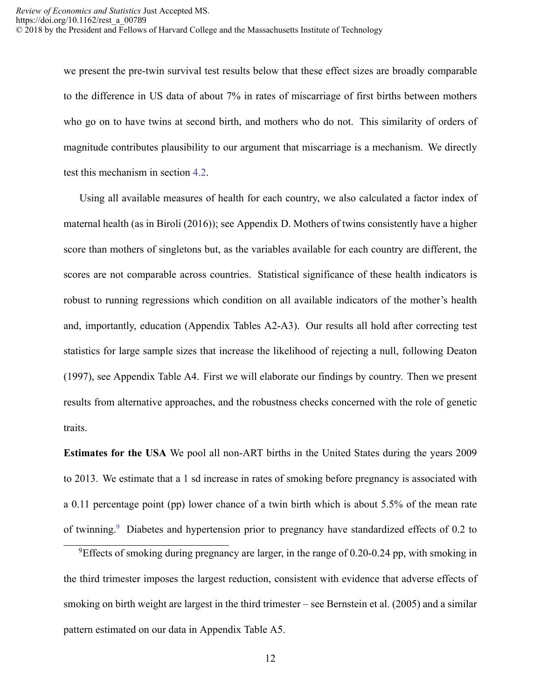we present the pre-twin survival test results below that these effect sizes are broadly comparable to the difference in US data of about 7% in rates of miscarriage of first births between mothers who go on to have twins at second birth, and mothers who do not. This similarity of orders of magnitude contributes plausibility to our argument that miscarriage is a mechanism. We directly test this mechanism in section [4.2](#page-16-0).

Using all available measures of health for each country, we also calculated a factor index of maternal health (as in [Biroli](#page-24-5) ([2016\)](#page-24-5)); see Appendix D. Mothers of twins consistently have a higher score than mothers of singletons but, as the variables available for each country are different, the scores are not comparable across countries. Statistical significance of these health indicators is robust to running regressions which condition on all available indicators of the mother's health and, importantly, education (Appendix Tables A2-A3). Our results all hold after correcting test statistics for large sample sizes that increase the likelihood of rejecting a null, following [Deaton](#page-26-4) ([1997\)](#page-26-4), see Appendix Table A4. First we will elaborate our findings by country. Then we present results from alternative approaches, and the robustness checks concerned with the role of genetic traits.

**Estimates for the USA** We pool all non-ART births in the United States during the years 2009 to 2013. We estimate that a 1 sd increase in rates of smoking before pregnancy is associated with a 0.11 percentage point (pp) lower chance of a twin birth which is about 5.5% of the mean rate of twinning.<sup>9</sup> Diabetes and hypertension prior to pregnancy have standardized effects of 0.2 to

<sup>9</sup>Effects of smoking during pregnancy are larger, in the range of 0.20-0.24 pp, with smoking in the third trimester imposes the largest reduction, consistent with evidence that adverse effects of smoking on birth weight are largest in the third trimester – see [Bernstein et al.](#page-24-2) [\(2005\)](#page-24-2) and a similar pattern estimated on our data in Appendix Table A5.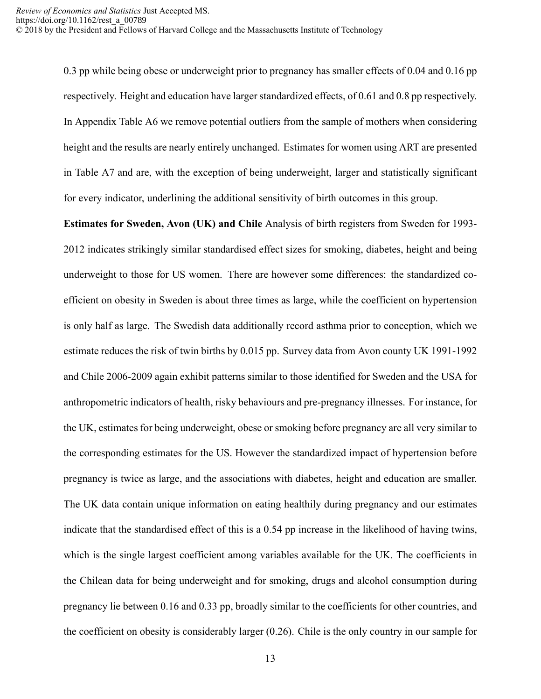0.3 pp while being obese or underweight prior to pregnancy has smaller effects of 0.04 and 0.16 pp respectively. Height and education have larger standardized effects, of 0.61 and 0.8 pp respectively. In Appendix Table A6 we remove potential outliers from the sample of mothers when considering height and the results are nearly entirely unchanged. Estimates for women using ART are presented in Table A7 and are, with the exception of being underweight, larger and statistically significant for every indicator, underlining the additional sensitivity of birth outcomes in this group.

**Estimates for Sweden, Avon (UK) and Chile** Analysis of birth registers from Sweden for 1993- 2012 indicates strikingly similar standardised effect sizes for smoking, diabetes, height and being underweight to those for US women. There are however some differences: the standardized coefficient on obesity in Sweden is about three times as large, while the coefficient on hypertension is only half as large. The Swedish data additionally record asthma prior to conception, which we estimate reduces the risk of twin births by 0.015 pp. Survey data from Avon county UK 1991-1992 and Chile 2006-2009 again exhibit patterns similar to those identified for Sweden and the USA for anthropometric indicators of health, risky behaviours and pre-pregnancy illnesses. For instance, for the UK, estimates for being underweight, obese or smoking before pregnancy are all very similar to the corresponding estimates for the US. However the standardized impact of hypertension before pregnancy is twice as large, and the associations with diabetes, height and education are smaller. The UK data contain unique information on eating healthily during pregnancy and our estimates indicate that the standardised effect of this is a 0.54 pp increase in the likelihood of having twins, which is the single largest coefficient among variables available for the UK. The coefficients in the Chilean data for being underweight and for smoking, drugs and alcohol consumption during pregnancy lie between 0.16 and 0.33 pp, broadly similar to the coefficients for other countries, and the coefficient on obesity is considerably larger (0.26). Chile is the only country in our sample for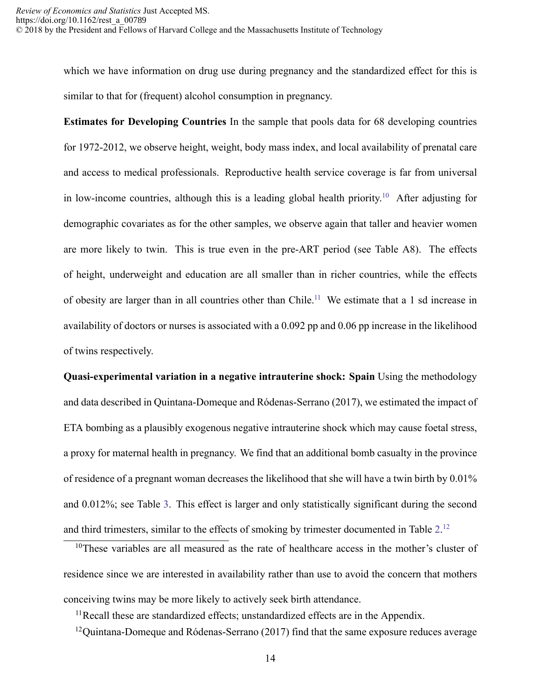which we have information on drug use during pregnancy and the standardized effect for this is similar to that for (frequent) alcohol consumption in pregnancy.

**Estimates for Developing Countries** In the sample that pools data for 68 developing countries for 1972-2012, we observe height, weight, body mass index, and local availability of prenatal care and access to medical professionals. Reproductive health service coverage is far from universal in low-income countries, although this is a leading global health priority.<sup>10</sup> After adjusting for demographic covariates as for the other samples, we observe again that taller and heavier women are more likely to twin. This is true even in the pre-ART period (see Table A8). The effects of height, underweight and education are all smaller than in richer countries, while the effects of obesity are larger than in all countries other than Chile.<sup>11</sup> We estimate that a 1 sd increase in availability of doctors or nurses is associated with a 0.092 pp and 0.06 pp increase in the likelihood of twins respectively.

**Quasi-experimental variation in a negative intrauterine shock: Spain** Using the methodology and data described in [Quintana-Domeque and Ródenas-Serrano](#page-29-5) ([2017\)](#page-29-5), we estimated the impact of ETA bombing as a plausibly exogenous negative intrauterine shock which may cause foetal stress, a proxy for maternal health in pregnancy. We find that an additional bomb casualty in the province of residence of a pregnant woman decreases the likelihood that she will have a twin birth by 0.01% and 0.012%; see Table [3](#page-39-0). This effect is larger and only statistically significant during the second and third trimesters, similar to the effects of smoking by trimester documented in Table [2](#page-35-0).<sup>12</sup>

 $10$ These variables are all measured as the rate of healthcare access in the mother's cluster of residence since we are interested in availability rather than use to avoid the concern that mothers conceiving twins may be more likely to actively seek birth attendance.

 $<sup>11</sup>$ Recall these are standardized effects; unstandardized effects are in the Appendix.</sup>

<sup>&</sup>lt;sup>12</sup>[Quintana-Domeque and Ródenas-Serrano](#page-29-5) ([2017\)](#page-29-5) find that the same exposure reduces average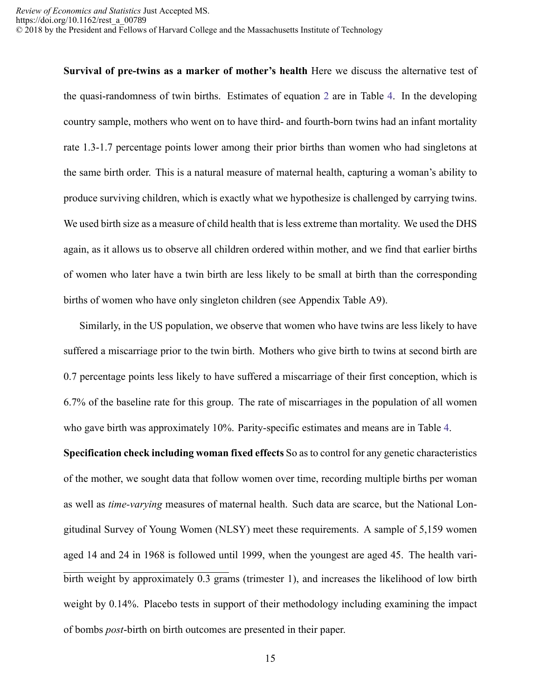**Survival of pre-twins as a marker of mother's health** Here we discuss the alternative test of the quasi-randomness of twin births. Estimates of equation [2](#page-8-0) are in Table [4.](#page-40-0) In the developing country sample, mothers who went on to have third- and fourth-born twins had an infant mortality rate 1.3-1.7 percentage points lower among their prior births than women who had singletons at the same birth order. This is a natural measure of maternal health, capturing a woman's ability to produce surviving children, which is exactly what we hypothesize is challenged by carrying twins. We used birth size as a measure of child health that is less extreme than mortality. We used the DHS again, as it allows us to observe all children ordered within mother, and we find that earlier births of women who later have a twin birth are less likely to be small at birth than the corresponding births of women who have only singleton children (see Appendix Table A9).

Similarly, in the US population, we observe that women who have twins are less likely to have suffered a miscarriage prior to the twin birth. Mothers who give birth to twins at second birth are 0.7 percentage points less likely to have suffered a miscarriage of their first conception, which is 6.7% of the baseline rate for this group. The rate of miscarriages in the population of all women who gave birth was approximately 10%. Parity-specific estimates and means are in Table [4](#page-40-0).

**Specification check including woman fixed effects** So as to control for any genetic characteristics of the mother, we sought data that follow women over time, recording multiple births per woman as well as *time-varying* measures of maternal health. Such data are scarce, but the National Longitudinal Survey of Young Women (NLSY) meet these requirements. A sample of 5,159 women aged 14 and 24 in 1968 is followed until 1999, when the youngest are aged 45. The health varibirth weight by approximately 0.3 grams (trimester 1), and increases the likelihood of low birth weight by 0.14%. Placebo tests in support of their methodology including examining the impact of bombs *post*-birth on birth outcomes are presented in their paper.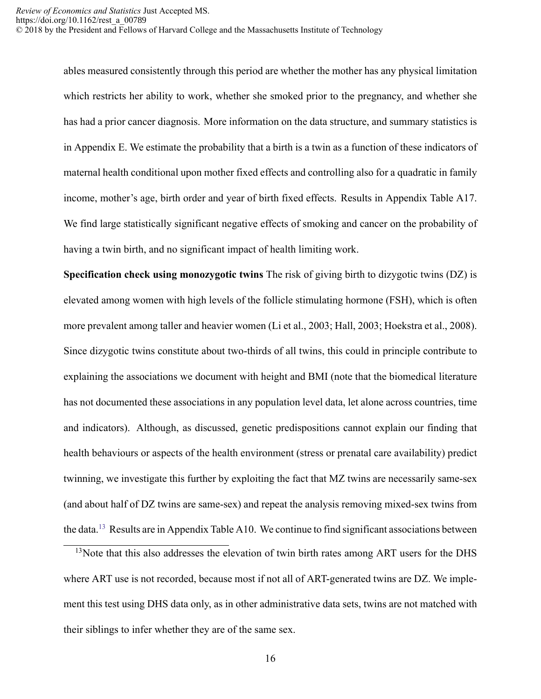ables measured consistently through this period are whether the mother has any physical limitation which restricts her ability to work, whether she smoked prior to the pregnancy, and whether she has had a prior cancer diagnosis. More information on the data structure, and summary statistics is in Appendix E. We estimate the probability that a birth is a twin as a function of these indicators of maternal health conditional upon mother fixed effects and controlling also for a quadratic in family income, mother's age, birth order and year of birth fixed effects. Results in Appendix Table A17. We find large statistically significant negative effects of smoking and cancer on the probability of having a twin birth, and no significant impact of health limiting work.

**Specification check using monozygotic twins** The risk of giving birth to dizygotic twins (DZ) is elevated among women with high levels of the follicle stimulating hormone (FSH), which is often more prevalent among taller and heavier women([Li et al.,](#page-27-4) [2003](#page-27-4); [Hall,](#page-27-0) [2003](#page-27-0); [Hoekstra et al.,](#page-27-5) [2008](#page-27-5)). Since dizygotic twins constitute about two-thirds of all twins, this could in principle contribute to explaining the associations we document with height and BMI (note that the biomedical literature has not documented these associations in any population level data, let alone across countries, time and indicators). Although, as discussed, genetic predispositions cannot explain our finding that health behaviours or aspects of the health environment (stress or prenatal care availability) predict twinning, we investigate this further by exploiting the fact that MZ twins are necessarily same-sex (and about half of DZ twins are same-sex) and repeat the analysis removing mixed-sex twins from the data.<sup>13</sup> Results are in Appendix Table A10. We continue to find significant associations between

 $13$ Note that this also addresses the elevation of twin birth rates among ART users for the DHS where ART use is not recorded, because most if not all of ART-generated twins are DZ. We implement this test using DHS data only, as in other administrative data sets, twins are not matched with their siblings to infer whether they are of the same sex.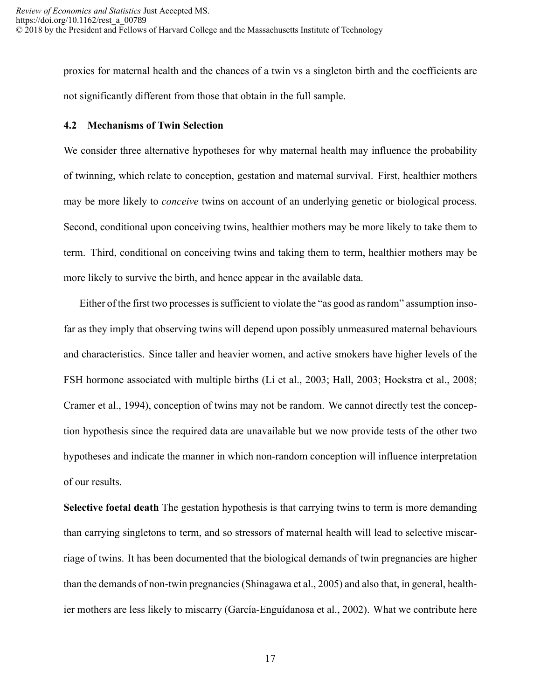proxies for maternal health and the chances of a twin vs a singleton birth and the coefficients are not significantly different from those that obtain in the full sample.

#### <span id="page-16-0"></span>**4.2 Mechanisms of Twin Selection**

We consider three alternative hypotheses for why maternal health may influence the probability of twinning, which relate to conception, gestation and maternal survival. First, healthier mothers may be more likely to *conceive* twins on account of an underlying genetic or biological process. Second, conditional upon conceiving twins, healthier mothers may be more likely to take them to term. Third, conditional on conceiving twins and taking them to term, healthier mothers may be more likely to survive the birth, and hence appear in the available data.

Either of the first two processes is sufficient to violate the "as good as random" assumption insofar as they imply that observing twins will depend upon possibly unmeasured maternal behaviours and characteristics. Since taller and heavier women, and active smokers have higher levels of the FSH hormone associated with multiple births([Li et al.,](#page-27-4) [2003;](#page-27-4) [Hall](#page-27-0), [2003;](#page-27-0) [Hoekstra et al.](#page-27-5), [2008;](#page-27-5) [Cramer et al.](#page-26-5), [1994](#page-26-5)), conception of twins may not be random. We cannot directly test the conception hypothesis since the required data are unavailable but we now provide tests of the other two hypotheses and indicate the manner in which non-random conception will influence interpretation of our results.

**Selective foetal death** The gestation hypothesis is that carrying twins to term is more demanding than carrying singletons to term, and so stressors of maternal health will lead to selective miscarriage of twins. It has been documented that the biological demands of twin pregnancies are higher than the demands of non-twin pregnancies([Shinagawa et al.,](#page-29-7) [2005\)](#page-29-7) and also that, in general, healthier mothers are less likely to miscarry [\(García-Enguídanosa et al.,](#page-26-6) [2002\)](#page-26-6). What we contribute here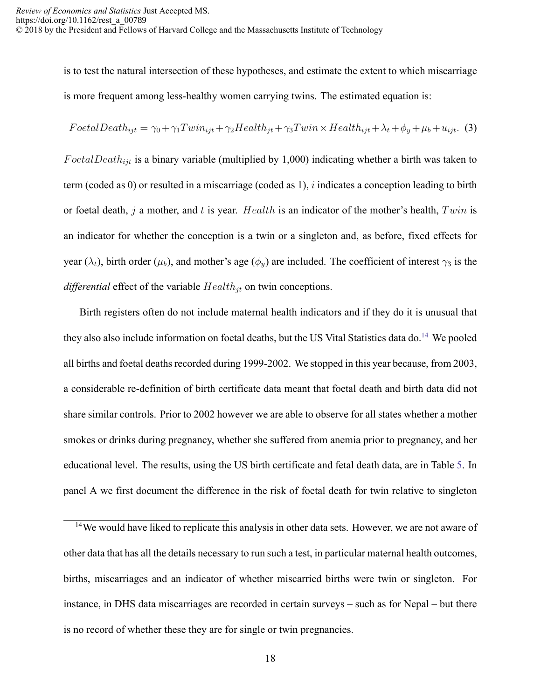is to test the natural intersection of these hypotheses, and estimate the extent to which miscarriage is more frequent among less-healthy women carrying twins. The estimated equation is:

$$
Foetal Death_{ijt} = \gamma_0 + \gamma_1 Twin_{ijt} + \gamma_2Health_{jt} + \gamma_3Twin \times Health_{ijt} + \lambda_t + \phi_y + \mu_b + u_{ijt}
$$
. (3)

*F oetalDeathijt* is a binary variable (multiplied by 1,000) indicating whether a birth was taken to term (coded as 0) or resulted in a miscarriage (coded as 1), *i* indicates a conception leading to birth or foetal death, *j* a mother, and *t* is year. *Health* is an indicator of the mother's health, *Twin* is an indicator for whether the conception is a twin or a singleton and, as before, fixed effects for year ( $\lambda_t$ ), birth order ( $\mu_b$ ), and mother's age ( $\phi_y$ ) are included. The coefficient of interest  $\gamma_3$  is the *differential* effect of the variable *Healthjt* on twin conceptions.

Birth registers often do not include maternal health indicators and if they do it is unusual that they also also include information on foetal deaths, but the US Vital Statistics data do.<sup>14</sup> We pooled all births and foetal deaths recorded during 1999-2002. We stopped in this year because, from 2003, a considerable re-definition of birth certificate data meant that foetal death and birth data did not share similar controls. Prior to 2002 however we are able to observe for all states whether a mother smokes or drinks during pregnancy, whether she suffered from anemia prior to pregnancy, and her educational level. The results, using the US birth certificate and fetal death data, are in Table [5](#page-42-0). In panel A we first document the difference in the risk of foetal death for twin relative to singleton

<sup>14</sup>We would have liked to replicate this analysis in other data sets. However, we are not aware of other data that has all the details necessary to run such a test, in particular maternal health outcomes, births, miscarriages and an indicator of whether miscarried births were twin or singleton. For instance, in DHS data miscarriages are recorded in certain surveys – such as for Nepal – but there is no record of whether these they are for single or twin pregnancies.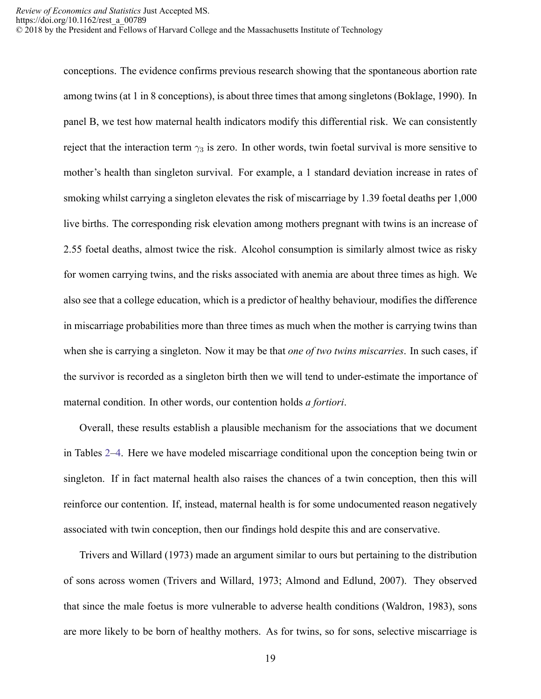conceptions. The evidence confirms previous research showing that the spontaneous abortion rate among twins (at 1 in 8 conceptions), is about three times that among singletons [\(Boklage,](#page-25-7) [1990](#page-25-7)). In panel B, we test how maternal health indicators modify this differential risk. We can consistently reject that the interaction term  $\gamma_3$  is zero. In other words, twin foetal survival is more sensitive to mother's health than singleton survival. For example, a 1 standard deviation increase in rates of smoking whilst carrying a singleton elevates the risk of miscarriage by 1.39 foetal deaths per 1,000 live births. The corresponding risk elevation among mothers pregnant with twins is an increase of 2.55 foetal deaths, almost twice the risk. Alcohol consumption is similarly almost twice as risky for women carrying twins, and the risks associated with anemia are about three times as high. We also see that a college education, which is a predictor of healthy behaviour, modifies the difference in miscarriage probabilities more than three times as much when the mother is carrying twins than when she is carrying a singleton. Now it may be that *one of two twins miscarries*. In such cases, if the survivor is recorded as a singleton birth then we will tend to under-estimate the importance of maternal condition. In other words, our contention holds *a fortiori*.

Overall, these results establish a plausible mechanism for the associations that we document in Tables [2–](#page-35-0)[4.](#page-40-0) Here we have modeled miscarriage conditional upon the conception being twin or singleton. If in fact maternal health also raises the chances of a twin conception, then this will reinforce our contention. If, instead, maternal health is for some undocumented reason negatively associated with twin conception, then our findings hold despite this and are conservative.

[Trivers and Willard](#page-29-4) [\(1973](#page-29-4)) made an argument similar to ours but pertaining to the distribution of sons across women([Trivers and Willard,](#page-29-4) [1973;](#page-29-4) [Almond and Edlund,](#page-23-0) [2007\)](#page-23-0). They observed that since the male foetus is more vulnerable to adverse health conditions([Waldron,](#page-30-1) [1983](#page-30-1)), sons are more likely to be born of healthy mothers. As for twins, so for sons, selective miscarriage is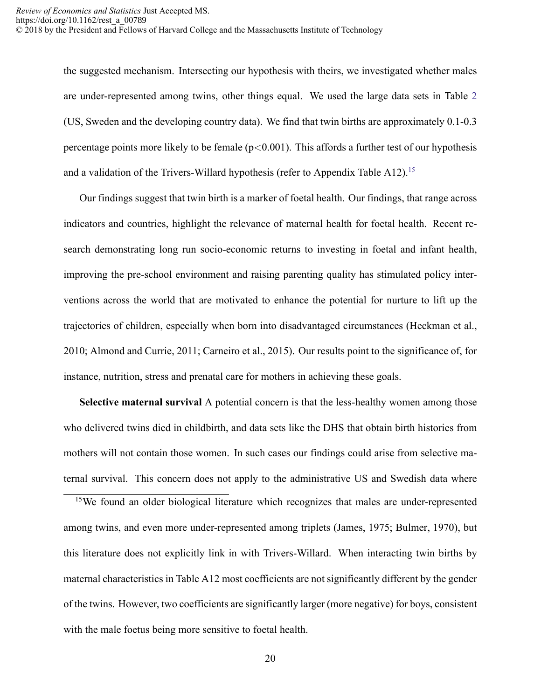the suggested mechanism. Intersecting our hypothesis with theirs, we investigated whether males are under-represented among twins, other things equal. We used the large data sets in Table [2](#page-35-0) (US, Sweden and the developing country data). We find that twin births are approximately 0.1-0.3 percentage points more likely to be female (p*<*0.001). This affords a further test of our hypothesis and a validation of the Trivers-Willard hypothesis (refer to Appendix Table A12).<sup>15</sup>

Our findings suggest that twin birth is a marker of foetal health. Our findings, that range across indicators and countries, highlight the relevance of maternal health for foetal health. Recent research demonstrating long run socio-economic returns to investing in foetal and infant health, improving the pre-school environment and raising parenting quality has stimulated policy interventions across the world that are motivated to enhance the potential for nurture to lift up the trajectories of children, especially when born into disadvantaged circumstances([Heckman et al.](#page-27-6), [2010;](#page-27-6) [Almond and Currie](#page-23-2), [2011;](#page-23-2) [Carneiro et al.](#page-26-7), [2015\)](#page-26-7). Our results point to the significance of, for instance, nutrition, stress and prenatal care for mothers in achieving these goals.

**Selective maternal survival** A potential concern is that the less-healthy women among those who delivered twins died in childbirth, and data sets like the DHS that obtain birth histories from mothers will not contain those women. In such cases our findings could arise from selective maternal survival. This concern does not apply to the administrative US and Swedish data where

<sup>15</sup>We found an older biological literature which recognizes that males are under-represented among twins, and even more under-represented among triplets([James,](#page-27-7) [1975](#page-27-7); [Bulmer,](#page-25-1) [1970](#page-25-1)), but this literature does not explicitly link in with Trivers-Willard. When interacting twin births by maternal characteristics in Table A12 most coefficients are not significantly different by the gender of the twins. However, two coefficients are significantly larger (more negative) for boys, consistent with the male foetus being more sensitive to foetal health.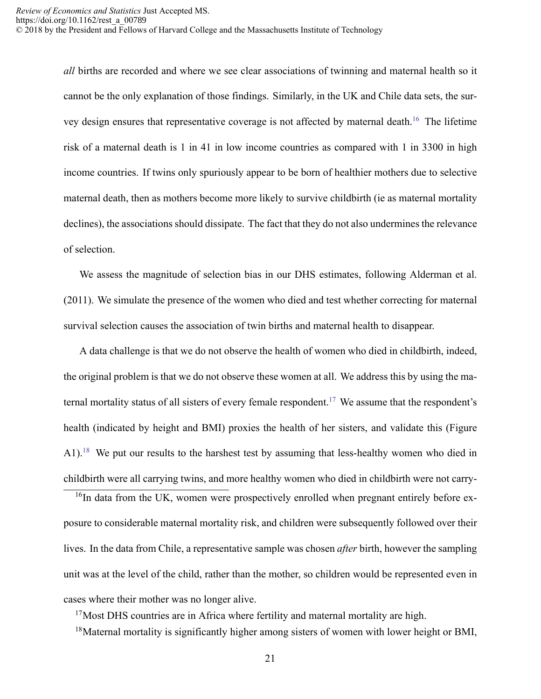*all* births are recorded and where we see clear associations of twinning and maternal health so it cannot be the only explanation of those findings. Similarly, in the UK and Chile data sets, the survey design ensures that representative coverage is not affected by maternal death.16 The lifetime risk of a maternal death is 1 in 41 in low income countries as compared with 1 in 3300 in high income countries. If twins only spuriously appear to be born of healthier mothers due to selective maternal death, then as mothers become more likely to survive childbirth (ie as maternal mortality declines), the associations should dissipate. The fact that they do not also undermines the relevance of selection.

We assess the magnitude of selection bias in our DHS estimates, following [Alderman et al.](#page-23-3) ([2011](#page-23-3)). We simulate the presence of the women who died and test whether correcting for maternal survival selection causes the association of twin births and maternal health to disappear.

A data challenge is that we do not observe the health of women who died in childbirth, indeed, the original problem is that we do not observe these women at all. We address this by using the maternal mortality status of all sisters of every female respondent.<sup>17</sup> We assume that the respondent's health (indicated by height and BMI) proxies the health of her sisters, and validate this (Figure A1).<sup>18</sup> We put our results to the harshest test by assuming that less-healthy women who died in childbirth were all carrying twins, and more healthy women who died in childbirth were not carry-

<sup>16</sup>In data from the UK, women were prospectively enrolled when pregnant entirely before exposure to considerable maternal mortality risk, and children were subsequently followed over their lives. In the data from Chile, a representative sample was chosen *after* birth, however the sampling unit was at the level of the child, rather than the mother, so children would be represented even in cases where their mother was no longer alive.

<sup>17</sup>Most DHS countries are in Africa where fertility and maternal mortality are high.

 $18$ Maternal mortality is significantly higher among sisters of women with lower height or BMI,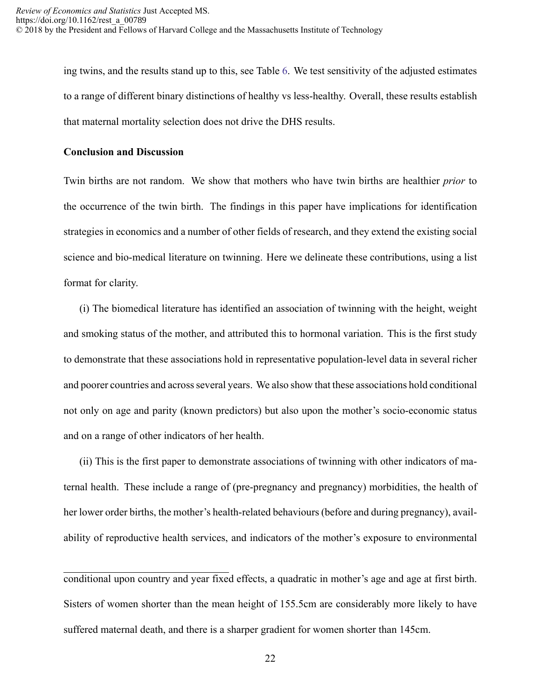ing twins, and the results stand up to this, see Table [6](#page-44-0). We test sensitivity of the adjusted estimates to a range of different binary distinctions of healthy vs less-healthy. Overall, these results establish that maternal mortality selection does not drive the DHS results.

### **Conclusion and Discussion**

Twin births are not random. We show that mothers who have twin births are healthier *prior* to the occurrence of the twin birth. The findings in this paper have implications for identification strategies in economics and a number of other fields of research, and they extend the existing social science and bio-medical literature on twinning. Here we delineate these contributions, using a list format for clarity.

(i) The biomedical literature has identified an association of twinning with the height, weight and smoking status of the mother, and attributed this to hormonal variation. This is the first study to demonstrate that these associations hold in representative population-level data in several richer and poorer countries and across several years. We also show that these associations hold conditional not only on age and parity (known predictors) but also upon the mother's socio-economic status and on a range of other indicators of her health.

(ii) This is the first paper to demonstrate associations of twinning with other indicators of maternal health. These include a range of (pre-pregnancy and pregnancy) morbidities, the health of her lower order births, the mother's health-related behaviours (before and during pregnancy), availability of reproductive health services, and indicators of the mother's exposure to environmental

conditional upon country and year fixed effects, a quadratic in mother's age and age at first birth. Sisters of women shorter than the mean height of 155.5cm are considerably more likely to have suffered maternal death, and there is a sharper gradient for women shorter than 145cm.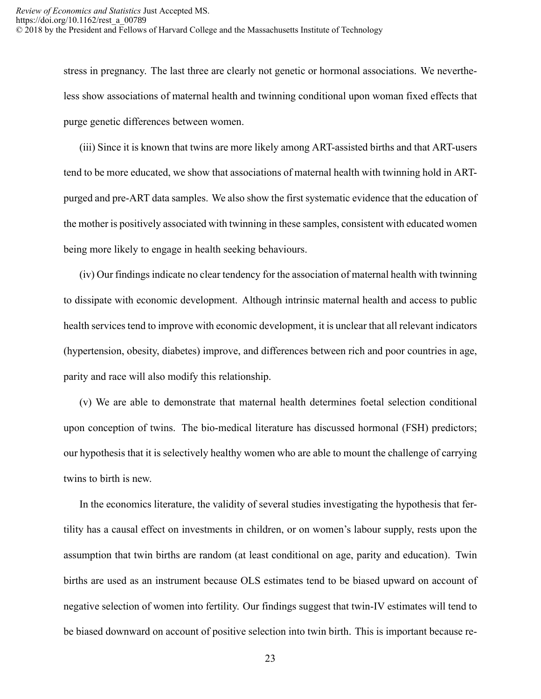stress in pregnancy. The last three are clearly not genetic or hormonal associations. We nevertheless show associations of maternal health and twinning conditional upon woman fixed effects that purge genetic differences between women.

(iii) Since it is known that twins are more likely among ART-assisted births and that ART-users tend to be more educated, we show that associations of maternal health with twinning hold in ARTpurged and pre-ART data samples. We also show the first systematic evidence that the education of the mother is positively associated with twinning in these samples, consistent with educated women being more likely to engage in health seeking behaviours.

(iv) Our findings indicate no clear tendency for the association of maternal health with twinning to dissipate with economic development. Although intrinsic maternal health and access to public health services tend to improve with economic development, it is unclear that all relevant indicators (hypertension, obesity, diabetes) improve, and differences between rich and poor countries in age, parity and race will also modify this relationship.

(v) We are able to demonstrate that maternal health determines foetal selection conditional upon conception of twins. The bio-medical literature has discussed hormonal (FSH) predictors; our hypothesis that it is selectively healthy women who are able to mount the challenge of carrying twins to birth is new.

In the economics literature, the validity of several studies investigating the hypothesis that fertility has a causal effect on investments in children, or on women's labour supply, rests upon the assumption that twin births are random (at least conditional on age, parity and education). Twin births are used as an instrument because OLS estimates tend to be biased upward on account of negative selection of women into fertility. Our findings suggest that twin-IV estimates will tend to be biased downward on account of positive selection into twin birth. This is important because re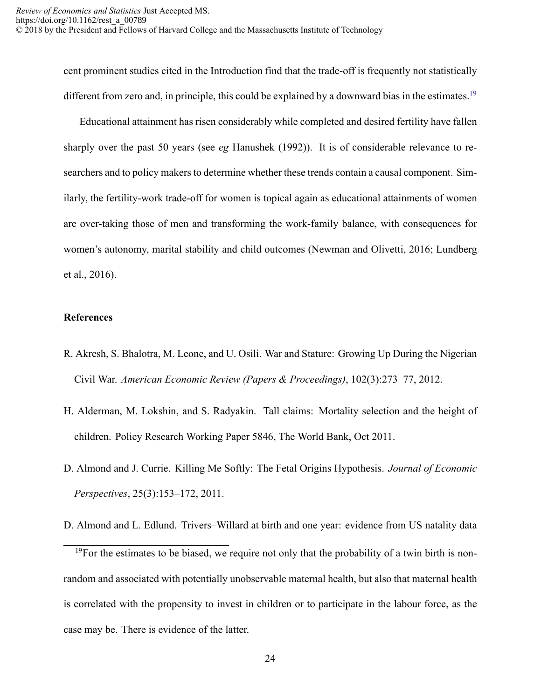cent prominent studies cited in the Introduction find that the trade-off is frequently not statistically different from zero and, in principle, this could be explained by a downward bias in the estimates.<sup>19</sup>

Educational attainment has risen considerably while completed and desired fertility have fallen sharply over the past 50 years (see *eg* [Hanushek](#page-27-8) [\(1992\)](#page-27-8)). It is of considerable relevance to researchers and to policy makers to determine whether these trends contain a causal component. Similarly, the fertility-work trade-off for women is topical again as educational attainments of women are over-taking those of men and transforming the work-family balance, with consequences for women's autonomy, marital stability and child outcomes([Newman and Olivetti,](#page-28-4) [2016;](#page-28-4) [Lundberg](#page-28-5) [et al.](#page-28-5), [2016](#page-28-5)).

### **References**

- <span id="page-23-1"></span>R. Akresh, S. Bhalotra, M. Leone, and U. Osili. War and Stature: Growing Up During the Nigerian Civil War. *American Economic Review (Papers & Proceedings)*, 102(3):273–77, 2012.
- <span id="page-23-3"></span>H. Alderman, M. Lokshin, and S. Radyakin. Tall claims: Mortality selection and the height of children. Policy Research Working Paper 5846, The World Bank, Oct 2011.
- <span id="page-23-2"></span>D. Almond and J. Currie. Killing Me Softly: The Fetal Origins Hypothesis. *Journal of Economic Perspectives*, 25(3):153–172, 2011.
- <span id="page-23-0"></span>D. Almond and L. Edlund. Trivers–Willard at birth and one year: evidence from US natality data

 $19$ For the estimates to be biased, we require not only that the probability of a twin birth is nonrandom and associated with potentially unobservable maternal health, but also that maternal health is correlated with the propensity to invest in children or to participate in the labour force, as the case may be. There is evidence of the latter.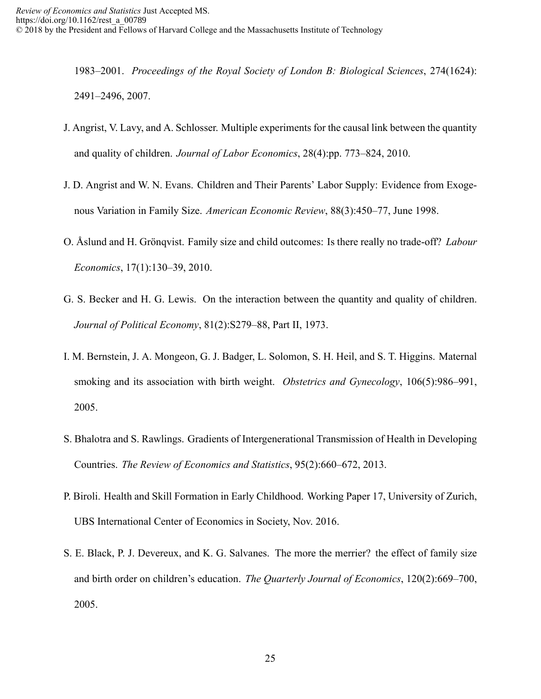1983–2001. *Proceedings of the Royal Society of London B: Biological Sciences*, 274(1624): 2491–2496, 2007.

- <span id="page-24-1"></span>J. Angrist, V. Lavy, and A. Schlosser. Multiple experiments for the causal link between the quantity and quality of children. *Journal of Labor Economics*, 28(4):pp. 773–824, 2010.
- <span id="page-24-7"></span>J. D. Angrist and W. N. Evans. Children and Their Parents' Labor Supply: Evidence from Exogenous Variation in Family Size. *American Economic Review*, 88(3):450–77, June 1998.
- <span id="page-24-6"></span>O. Åslund and H. Grönqvist. Family size and child outcomes: Is there really no trade-off? *Labour Economics*, 17(1):130–39, 2010.
- <span id="page-24-3"></span>G. S. Becker and H. G. Lewis. On the interaction between the quantity and quality of children. *Journal of Political Economy*, 81(2):S279–88, Part II, 1973.
- <span id="page-24-2"></span>I. M. Bernstein, J. A. Mongeon, G. J. Badger, L. Solomon, S. H. Heil, and S. T. Higgins. Maternal smoking and its association with birth weight. *Obstetrics and Gynecology*, 106(5):986–991, 2005.
- <span id="page-24-4"></span>S. Bhalotra and S. Rawlings. Gradients of Intergenerational Transmission of Health in Developing Countries. *The Review of Economics and Statistics*, 95(2):660–672, 2013.
- <span id="page-24-5"></span>P. Biroli. Health and Skill Formation in Early Childhood. Working Paper 17, University of Zurich, UBS International Center of Economics in Society, Nov. 2016.
- <span id="page-24-0"></span>S. E. Black, P. J. Devereux, and K. G. Salvanes. The more the merrier? the effect of family size and birth order on children's education. *The Quarterly Journal of Economics*, 120(2):669–700, 2005.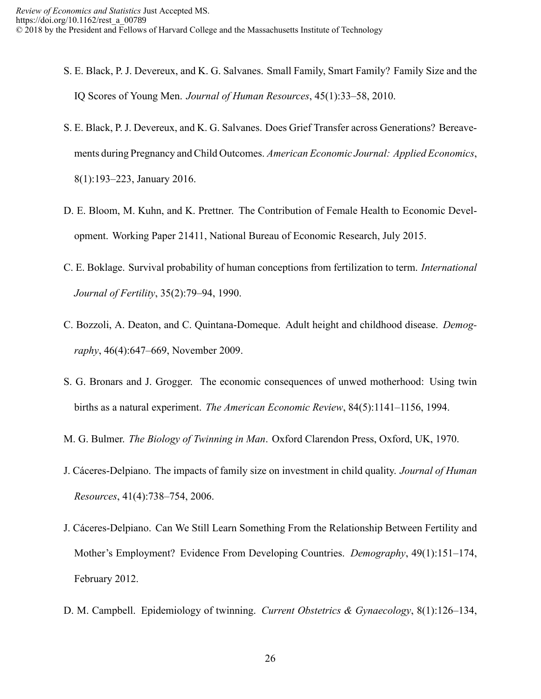- <span id="page-25-8"></span>S. E. Black, P. J. Devereux, and K. G. Salvanes. Small Family, Smart Family? Family Size and the IQ Scores of Young Men. *Journal of Human Resources*, 45(1):33–58, 2010.
- <span id="page-25-3"></span>S. E. Black, P. J. Devereux, and K. G. Salvanes. Does Grief Transfer across Generations? Bereavements during Pregnancy and Child Outcomes. *American Economic Journal: Applied Economics*, 8(1):193–223, January 2016.
- <span id="page-25-5"></span>D. E. Bloom, M. Kuhn, and K. Prettner. The Contribution of Female Health to Economic Development. Working Paper 21411, National Bureau of Economic Research, July 2015.
- <span id="page-25-7"></span>C. E. Boklage. Survival probability of human conceptions from fertilization to term. *International Journal of Fertility*, 35(2):79–94, 1990.
- <span id="page-25-6"></span>C. Bozzoli, A. Deaton, and C. Quintana-Domeque. Adult height and childhood disease. *Demography*, 46(4):647–669, November 2009.
- <span id="page-25-0"></span>S. G. Bronars and J. Grogger. The economic consequences of unwed motherhood: Using twin births as a natural experiment. *The American Economic Review*, 84(5):1141–1156, 1994.
- <span id="page-25-2"></span><span id="page-25-1"></span>M. G. Bulmer. *The Biology of Twinning in Man*. Oxford Clarendon Press, Oxford, UK, 1970.
- J. Cáceres-Delpiano. The impacts of family size on investment in child quality. *Journal of Human Resources*, 41(4):738–754, 2006.
- <span id="page-25-9"></span>J. Cáceres-Delpiano. Can We Still Learn Something From the Relationship Between Fertility and Mother's Employment? Evidence From Developing Countries. *Demography*, 49(1):151–174, February 2012.
- <span id="page-25-4"></span>D. M. Campbell. Epidemiology of twinning. *Current Obstetrics & Gynaecology*, 8(1):126–134,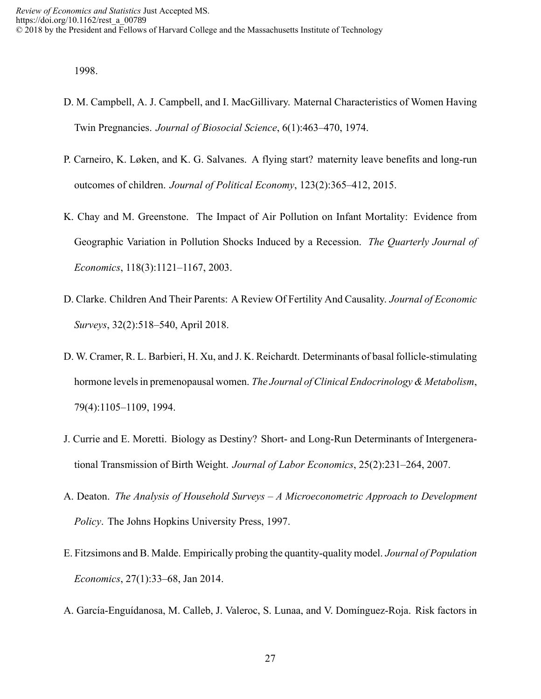1998.

- <span id="page-26-2"></span>D. M. Campbell, A. J. Campbell, and I. MacGillivary. Maternal Characteristics of Women Having Twin Pregnancies. *Journal of Biosocial Science*, 6(1):463–470, 1974.
- <span id="page-26-7"></span>P. Carneiro, K. Løken, and K. G. Salvanes. A flying start? maternity leave benefits and long-run outcomes of children. *Journal of Political Economy*, 123(2):365–412, 2015.
- <span id="page-26-0"></span>K. Chay and M. Greenstone. The Impact of Air Pollution on Infant Mortality: Evidence from Geographic Variation in Pollution Shocks Induced by a Recession. *The Quarterly Journal of Economics*, 118(3):1121–1167, 2003.
- <span id="page-26-8"></span>D. Clarke. Children And Their Parents: A Review Of Fertility And Causality. *Journal of Economic Surveys*, 32(2):518–540, April 2018.
- <span id="page-26-5"></span>D. W. Cramer, R. L. Barbieri, H. Xu, and J. K. Reichardt. Determinants of basal follicle-stimulating hormone levels in premenopausal women. *The Journal of Clinical Endocrinology & Metabolism*, 79(4):1105–1109, 1994.
- <span id="page-26-1"></span>J. Currie and E. Moretti. Biology as Destiny? Short- and Long-Run Determinants of Intergenerational Transmission of Birth Weight. *Journal of Labor Economics*, 25(2):231–264, 2007.
- <span id="page-26-4"></span>A. Deaton. *The Analysis of Household Surveys – A Microeconometric Approach to Development Policy*. The Johns Hopkins University Press, 1997.
- <span id="page-26-3"></span>E. Fitzsimons and B. Malde. Empirically probing the quantity-quality model. *Journal of Population Economics*, 27(1):33–68, Jan 2014.
- <span id="page-26-6"></span>A. García-Enguídanosa, M. Calleb, J. Valeroc, S. Lunaa, and V. Domínguez-Roja. Risk factors in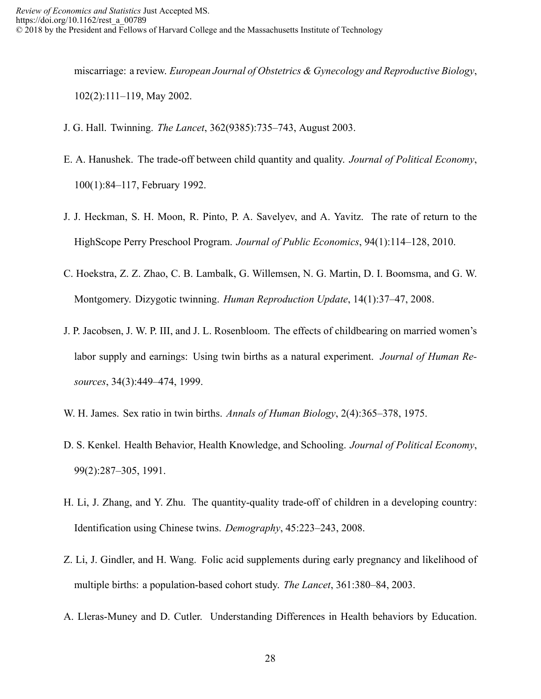miscarriage: a review. *European Journal of Obstetrics & Gynecology and Reproductive Biology*, 102(2):111–119, May 2002.

<span id="page-27-8"></span><span id="page-27-0"></span>J. G. Hall. Twinning. *The Lancet*, 362(9385):735–743, August 2003.

- E. A. Hanushek. The trade-off between child quantity and quality. *Journal of Political Economy*, 100(1):84–117, February 1992.
- <span id="page-27-6"></span>J. J. Heckman, S. H. Moon, R. Pinto, P. A. Savelyev, and A. Yavitz. The rate of return to the HighScope Perry Preschool Program. *Journal of Public Economics*, 94(1):114–128, 2010.
- <span id="page-27-5"></span>C. Hoekstra, Z. Z. Zhao, C. B. Lambalk, G. Willemsen, N. G. Martin, D. I. Boomsma, and G. W. Montgomery. Dizygotic twinning. *Human Reproduction Update*, 14(1):37–47, 2008.
- <span id="page-27-9"></span>J. P. Jacobsen, J. W. P. III, and J. L. Rosenbloom. The effects of childbearing on married women's labor supply and earnings: Using twin births as a natural experiment. *Journal of Human Resources*, 34(3):449–474, 1999.
- <span id="page-27-7"></span><span id="page-27-2"></span>W. H. James. Sex ratio in twin births. *Annals of Human Biology*, 2(4):365–378, 1975.
- D. S. Kenkel. Health Behavior, Health Knowledge, and Schooling. *Journal of Political Economy*, 99(2):287–305, 1991.
- <span id="page-27-1"></span>H. Li, J. Zhang, and Y. Zhu. The quantity-quality trade-off of children in a developing country: Identification using Chinese twins. *Demography*, 45:223–243, 2008.
- <span id="page-27-4"></span>Z. Li, J. Gindler, and H. Wang. Folic acid supplements during early pregnancy and likelihood of multiple births: a population-based cohort study. *The Lancet*, 361:380–84, 2003.
- <span id="page-27-3"></span>A. Lleras-Muney and D. Cutler. Understanding Differences in Health behaviors by Education.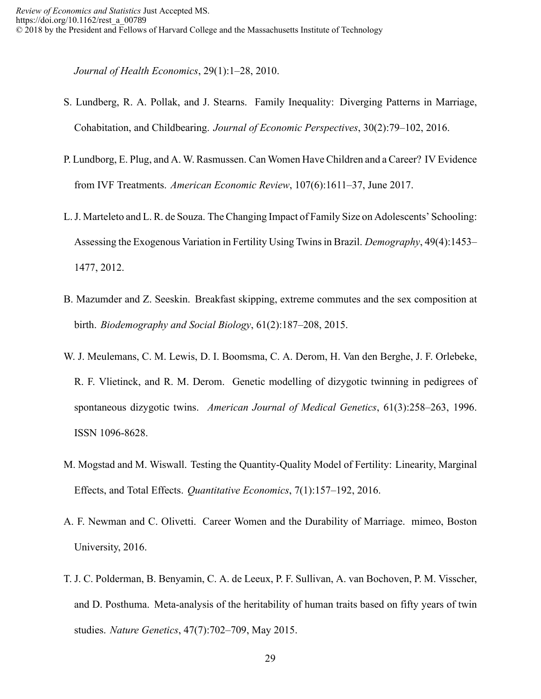*Journal of Health Economics*, 29(1):1–28, 2010.

- <span id="page-28-5"></span>S. Lundberg, R. A. Pollak, and J. Stearns. Family Inequality: Diverging Patterns in Marriage, Cohabitation, and Childbearing. *Journal of Economic Perspectives*, 30(2):79–102, 2016.
- <span id="page-28-2"></span>P. Lundborg, E. Plug, and A. W. Rasmussen. Can Women Have Children and a Career? IV Evidence from IVF Treatments. *American Economic Review*, 107(6):1611–37, June 2017.
- <span id="page-28-6"></span>L. J. Marteleto and L. R. de Souza. The Changing Impact of Family Size on Adolescents' Schooling: Assessing the Exogenous Variation in Fertility Using Twins in Brazil. *Demography*, 49(4):1453– 1477, 2012.
- <span id="page-28-1"></span>B. Mazumder and Z. Seeskin. Breakfast skipping, extreme commutes and the sex composition at birth. *Biodemography and Social Biology*, 61(2):187–208, 2015.
- <span id="page-28-3"></span>W. J. Meulemans, C. M. Lewis, D. I. Boomsma, C. A. Derom, H. Van den Berghe, J. F. Orlebeke, R. F. Vlietinck, and R. M. Derom. Genetic modelling of dizygotic twinning in pedigrees of spontaneous dizygotic twins. *American Journal of Medical Genetics*, 61(3):258–263, 1996. ISSN 1096-8628.
- <span id="page-28-7"></span>M. Mogstad and M. Wiswall. Testing the Quantity-Quality Model of Fertility: Linearity, Marginal Effects, and Total Effects. *Quantitative Economics*, 7(1):157–192, 2016.
- <span id="page-28-4"></span>A. F. Newman and C. Olivetti. Career Women and the Durability of Marriage. mimeo, Boston University, 2016.
- <span id="page-28-0"></span>T. J. C. Polderman, B. Benyamin, C. A. de Leeux, P. F. Sullivan, A. van Bochoven, P. M. Visscher, and D. Posthuma. Meta-analysis of the heritability of human traits based on fifty years of twin studies. *Nature Genetics*, 47(7):702–709, May 2015.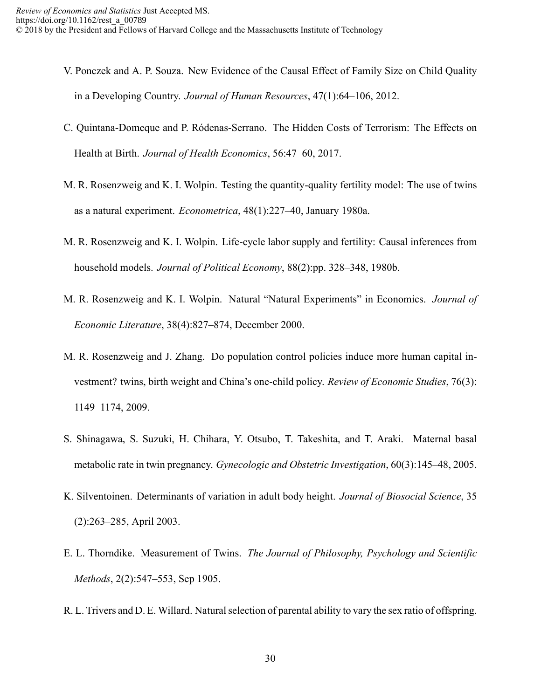- <span id="page-29-8"></span>V. Ponczek and A. P. Souza. New Evidence of the Causal Effect of Family Size on Child Quality in a Developing Country. *Journal of Human Resources*, 47(1):64–106, 2012.
- <span id="page-29-5"></span>C. Quintana-Domeque and P. Ródenas-Serrano. The Hidden Costs of Terrorism: The Effects on Health at Birth. *Journal of Health Economics*, 56:47–60, 2017.
- <span id="page-29-2"></span>M. R. Rosenzweig and K. I. Wolpin. Testing the quantity-quality fertility model: The use of twins as a natural experiment. *Econometrica*, 48(1):227–40, January 1980a.
- <span id="page-29-9"></span>M. R. Rosenzweig and K. I. Wolpin. Life-cycle labor supply and fertility: Causal inferences from household models. *Journal of Political Economy*, 88(2):pp. 328–348, 1980b.
- <span id="page-29-1"></span>M. R. Rosenzweig and K. I. Wolpin. Natural "Natural Experiments" in Economics. *Journal of Economic Literature*, 38(4):827–874, December 2000.
- <span id="page-29-3"></span>M. R. Rosenzweig and J. Zhang. Do population control policies induce more human capital investment? twins, birth weight and China's one-child policy. *Review of Economic Studies*, 76(3): 1149–1174, 2009.
- <span id="page-29-7"></span>S. Shinagawa, S. Suzuki, H. Chihara, Y. Otsubo, T. Takeshita, and T. Araki. Maternal basal metabolic rate in twin pregnancy. *Gynecologic and Obstetric Investigation*, 60(3):145–48, 2005.
- <span id="page-29-6"></span>K. Silventoinen. Determinants of variation in adult body height. *Journal of Biosocial Science*, 35 (2):263–285, April 2003.
- <span id="page-29-0"></span>E. L. Thorndike. Measurement of Twins. *The Journal of Philosophy, Psychology and Scientific Methods*, 2(2):547–553, Sep 1905.
- <span id="page-29-4"></span>R. L. Trivers and D. E. Willard. Natural selection of parental ability to vary the sex ratio of offspring.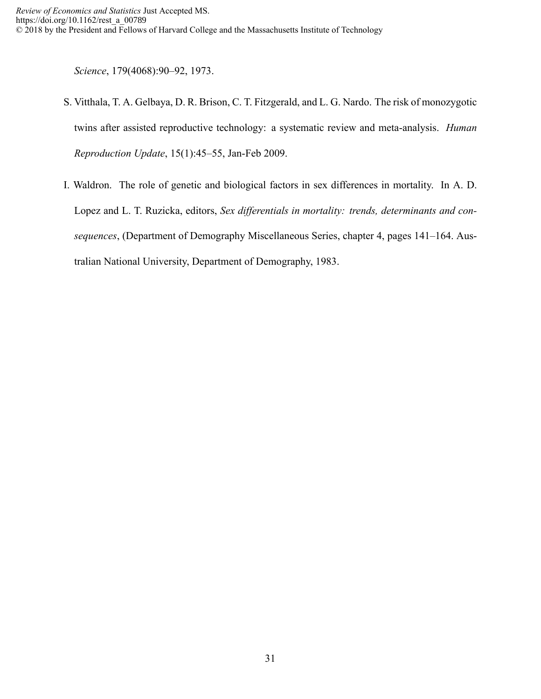*Science*, 179(4068):90–92, 1973.

- <span id="page-30-0"></span>S. Vitthala, T. A. Gelbaya, D. R. Brison, C. T. Fitzgerald, and L. G. Nardo. The risk of monozygotic twins after assisted reproductive technology: a systematic review and meta-analysis. *Human Reproduction Update*, 15(1):45–55, Jan-Feb 2009.
- <span id="page-30-1"></span>I. Waldron. The role of genetic and biological factors in sex differences in mortality. In A. D. Lopez and L. T. Ruzicka, editors, *Sex differentials in mortality: trends, determinants and consequences*, (Department of Demography Miscellaneous Series, chapter 4, pages 141–164. Australian National University, Department of Demography, 1983.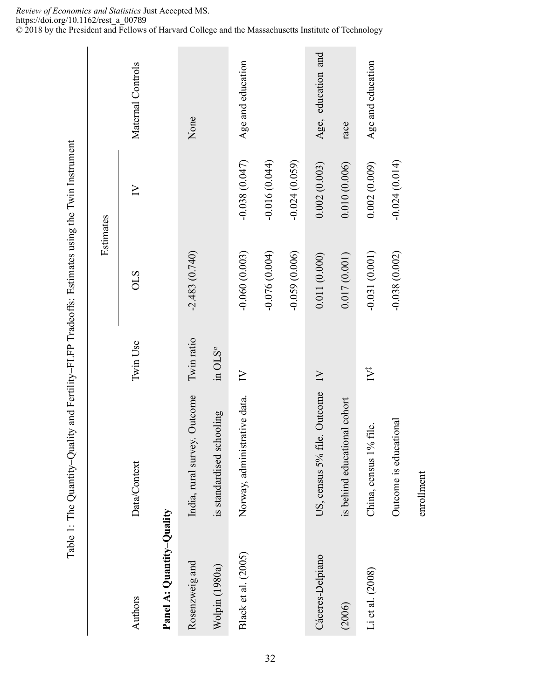|                           | Table 1: The Quantity-Quality and Fertility-FLFP Tradeoffs: Estimates using the Twin Instrument |                                  |                 |                 |                    |
|---------------------------|-------------------------------------------------------------------------------------------------|----------------------------------|-----------------|-----------------|--------------------|
|                           |                                                                                                 |                                  | Estimates       |                 |                    |
| Authors                   | Data/Context                                                                                    | Twin Use                         | <b>OLS</b>      | $\geq$          | Matemal Controls   |
| Panel A: Quantity-Quality |                                                                                                 |                                  |                 |                 |                    |
| Rosenzweig and            | Outcome<br>India, rural survey.                                                                 | Twin ratio                       | $-2.483(0.740)$ |                 | None               |
| Wolpin (1980a)            | is standardised schooling                                                                       | in OLS <sup><math>a</math></sup> |                 |                 |                    |
| Black et al. (2005)       | Norway, administrative data.                                                                    | $\geq$                           | $-0.060(0.003)$ | (0.047)         | Age and education  |
|                           |                                                                                                 |                                  | $-0.076(0.004)$ | $-0.016(0.044)$ |                    |
|                           |                                                                                                 |                                  | $-0.059(0.006)$ | $-0.024(0.059)$ |                    |
| Cáceres-Delpiano          | US, census 5% file. Outcome                                                                     | $\sum$                           | 0.011(0.000)    | 0.002(0.003)    | Age, education and |
| (2006)                    | is behind educational cohort                                                                    |                                  | 0.017(0.001)    | 0.010(0.006)    | race               |
| Li et al. (2008)          | file.<br>China, census 1%                                                                       | $\ddot{P}$                       | $-0.031(0.001)$ | 0.002(0.009)    | Age and education  |
|                           | Outcome is educational                                                                          |                                  | $-0.038(0.002)$ | $-0.004(0.014)$ |                    |

*Review of Economics and Statistics* Just Accepted MS. https://doi.org/10.1162/rest\_a\_00789

© 2018 by the President and Fellows of Harvard College and the Massachusetts Institute of Technology

<span id="page-31-0"></span>enrollment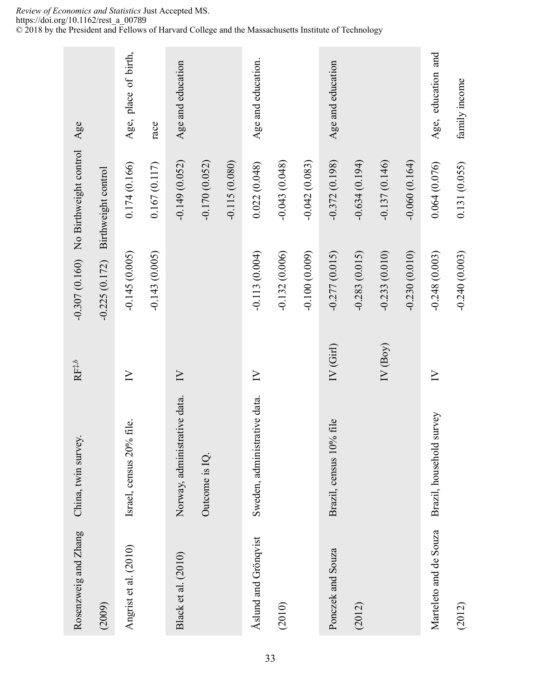| Rosenzweig and Zhang   | China, twin survey.          | $\mathbf{RF}^{t,b}_+$ | $-0.307(0.160)$ No Birthweight control |                     | Age                  |
|------------------------|------------------------------|-----------------------|----------------------------------------|---------------------|----------------------|
| (2009)                 |                              |                       | $-0.225(0.172)$                        | Birthweight control |                      |
| Angrist et al. (2010)  | file.<br>Israel, census 20%  | $\geq$                | $-0.145(0.005)$                        | 0.174(0.166)        | Age, place of birth, |
|                        |                              |                       | $-0.143(0.005)$                        | 0.167(0.117)        | race                 |
| Black et al. (2010)    | Norway, administrative data. | $\geq$                |                                        | $-0.149(0.052)$     | Age and education    |
|                        | Outcome is IQ.               |                       |                                        | $-0.170(0.052)$     |                      |
|                        |                              |                       |                                        | $-0.115(0.080)$     |                      |
| Åslund and Grönqvist   | Sweden, administrative data. | $\geq$                | $-0.113(0.004)$                        | 0.022(0.048)        | Age and education.   |
| (2010)                 |                              |                       | $-0.132(0.006)$                        | $-0.043(0.048)$     |                      |
|                        |                              |                       | $-0.100(0.009)$                        | $-0.042(0.083)$     |                      |
| Ponczek and Souza      | Brazil, census 10% file      | IV (Girl)             | $-0.277(0.015)$                        | $-0.372(0.198)$     | Age and education    |
| (2012)                 |                              |                       | $-0.283(0.015)$                        | $-0.634(0.194)$     |                      |
|                        |                              | IV(Boy)               | $-0.233(0.010)$                        | $-0.137(0.146)$     |                      |
|                        |                              |                       | $-0.230(0.010)$                        | $-0.060(0.164)$     |                      |
| Marteleto and de Souza | survey<br>Brazil, household  | $\geq$                | $-0.248(0.003)$                        | 0.064(0.076)        | Age, education and   |
| (2012)                 |                              |                       | $-0.240(0.003)$                        | 0.131(0.055)        | family income        |

*Review of Economics and Statistics* Just Accepted MS . https : //doi.or g /10.1162 /rest\_a\_00789

© 2018 by the President and Fellows of Harvard College and the Massachusetts Institute of Technology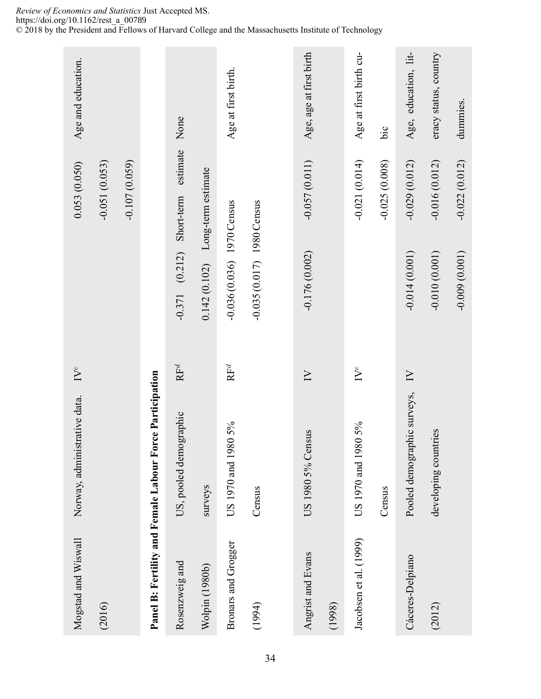| Mogstad and Wiswall<br>(2016)        | Norway, administrative data.                             | $\mathbb{N}^c$  |                                                                                  | $-0.107(0.059)$<br>$-0.051(0.053)$<br>0.053(0.050)    | Age and education.                                        |
|--------------------------------------|----------------------------------------------------------|-----------------|----------------------------------------------------------------------------------|-------------------------------------------------------|-----------------------------------------------------------|
|                                      | Panel B: Fertility and Female Labour Force Participation |                 |                                                                                  |                                                       |                                                           |
| Rosenzweig and<br>Wolpin (1980b)     | US, pooled demographic<br>surveys                        | RF <sup>d</sup> | $-0.371$ $(0.212)$ Short-term estimate None<br>$0.142(0.102)$ Long-term estimate |                                                       |                                                           |
| <b>Bronars and Grogger</b><br>(1994) | US 1970 and 1980 5%<br>Census                            | RF <sup>d</sup> | $-0.036(0.036)$ 1970 Census<br>$-0.035(0.017)$ 1980 Census                       |                                                       | Age at first birth.                                       |
| Angrist and Evans<br>(1998)          | US 1980 5% Census                                        | $\geq$          | $-0.176(0.002)$                                                                  | $-0.057(0.011)$                                       | Age, age at first birth                                   |
| Jacobsen et al. (1999)               | US 1970 and 1980 5%<br>Census                            | $N^e$           |                                                                                  | $-0.021(0.014)$<br>$-0.025(0.008)$                    | Age at first birth cu-<br>bic                             |
| Cáceres-Delpiano<br>(2012)           | Pooled demographic surveys,<br>developing countries      | $\geq$          | $-0.014(0.001)$<br>$-0.010(0.001)$<br>$-0.009(0.001)$                            | $-0.029(0.012)$<br>$-0.016(0.012)$<br>$-0.022(0.012)$ | Age, education, lit-<br>eracy status, country<br>dummies. |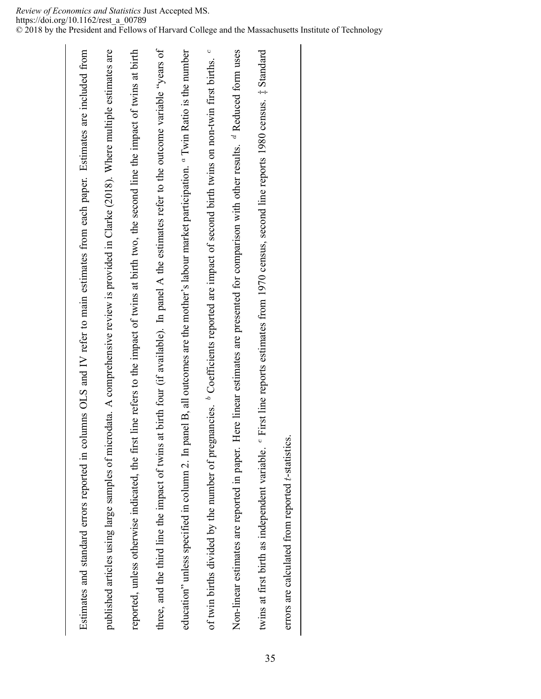| Estimates and standard errors reported in columns OLS and IV refer to main estimates from each paper. Estimates are included from                             |
|---------------------------------------------------------------------------------------------------------------------------------------------------------------|
| published articles using large samples of microdata. A comprehensive review is provided in Clarke (2018). Where multiple estimates are                        |
| line refers to the impact of twins at birth two, the second line the impact of twins at birth<br>reported, unless otherwise indicated, the first              |
| birth four (if available). In panel A the estimates refer to the outcome variable "years of<br>three, and the third line the impact of twins at               |
| education" unless specified in column 2. In panel B, all outcomes are the mother's labour market participation. " Twin Ratio is the number                    |
| $\circ$<br>of twin births divided by the number of pregnancies. <sup>b</sup> Coefficients reported are impact of second birth twins on non-twin first births. |
| Non-linear estimates are reported in paper. Here linear estimates are presented for comparison with other results. <sup>d</sup> Reduced form uses             |
| First line reports estimates from 1970 census, second line reports 1980 census. ‡ Standard<br>$\omega$<br>twins at first birth as independent variable.       |
| errors are calculated from reported t-statistics                                                                                                              |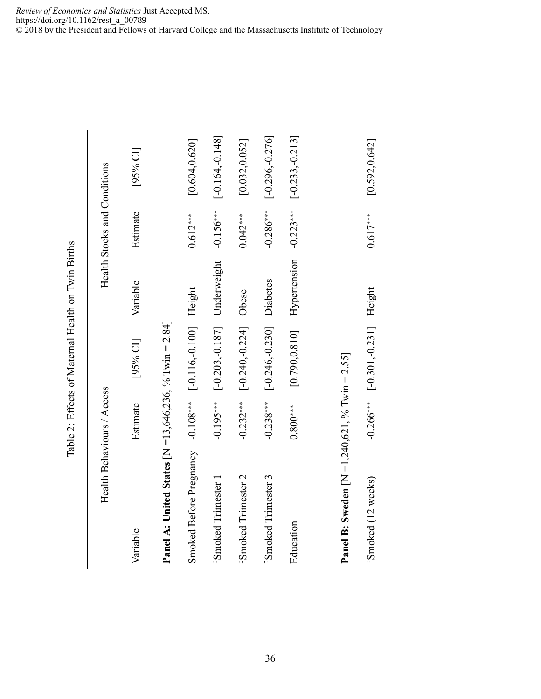<span id="page-35-0"></span>Table 2: Effects of Maternal Health on Twin Births Table 2: Effects of Maternal Health on Twin Births

| Health Behaviours / Access                                |             |                                 |              | Health Stocks and Conditions |                    |
|-----------------------------------------------------------|-------------|---------------------------------|--------------|------------------------------|--------------------|
| Variable                                                  | Estimate    | [95% C1]                        | Variable     | Estimate                     | $[95%$ CI]         |
| Panel A: United States [N = 13,646,236, % Twin = $2.84$ ] |             |                                 |              |                              |                    |
| Smoked Before Pregnancy                                   | $-0.108***$ | $[-0.116, 0.100]$               | Height       | $0.612***$                   | [0.604, 0.620]     |
| #Smoked Trimester 1                                       | $-0.195***$ | $[-0.203, -0.187]$              | Underweight  | $-0.156***$                  | $[-0.164, 0.148]$  |
| <sup>‡</sup> Smoked Trimester 2                           | $-0.232***$ | $[-0.240,-0.224]$               | Obese        | $0.042***$                   | [0.032, 0.052]     |
| <sup>‡</sup> Smoked Trimester 3                           | $-0.238***$ | $[-0.246, 0.230]$               | Diabetes     | $-0.286***$                  | $[-0.296, -0.276]$ |
| Education                                                 | $0.800***$  | [0.790, 0.810]                  | Hypertension | $-0.223***$                  | $[-0.233,-0.213]$  |
|                                                           |             |                                 |              |                              |                    |
| <b>Panel B:</b> Sweden [N =1,240,621, % Twin = 2.55]      |             |                                 |              |                              |                    |
| #Smoked (12 weeks)                                        | $-0.266***$ | $\left[ -0.301, -0.231 \right]$ | Height       | $0.617***$                   | [0.592, 0.642]     |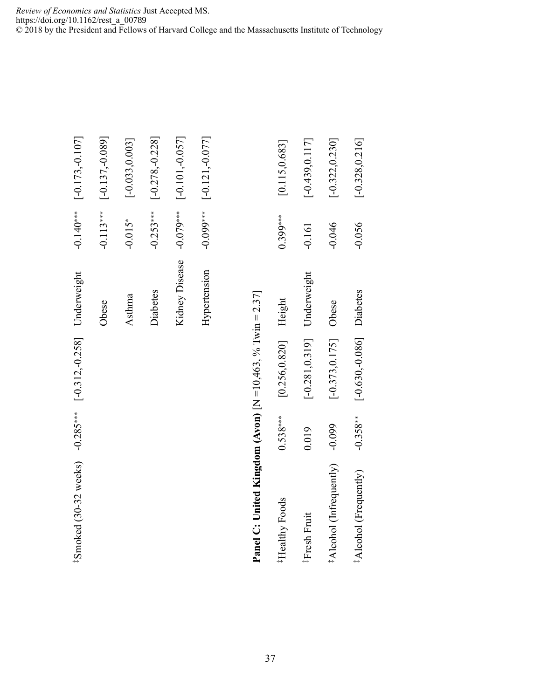| $*$ Smoked (30-32 weeks) -0.285*** [-0.312,-0.258] Underweight |             |                             |                |             | $-0.140***$ [-0.173,-0.107] |
|----------------------------------------------------------------|-------------|-----------------------------|----------------|-------------|-----------------------------|
|                                                                |             |                             | Obese          | $-0.113***$ | $[-0.137,-0.089]$           |
|                                                                |             |                             | Asthma         | $-0.015*$   | $[-0.033, 0.003]$           |
|                                                                |             |                             | Diabetes       | $-0.253***$ | $[-0.278,-0.228]$           |
|                                                                |             |                             | Kidney Disease | $-0.079***$ | $[-0.101,-0.057]$           |
|                                                                |             |                             | Hypertension   | $-0.099***$ | $[-0.121, 0.077]$           |
|                                                                |             |                             |                |             |                             |
| Panel C: United Kingdom (Avon) [ $N = 10,463, %$ Twin = 2.37]  |             |                             |                |             |                             |
| #Healthy Foods                                                 | $0.538***$  | [0.256, 0.820]              | Height         | $0.399***$  | [0.115, 0.683]              |
| <sup>‡</sup> Fresh Fruit                                       | 0.019       | $[-0.281, 0.319]$           | Underweight    | $-0.161$    | $[-0.439, 0.117]$           |
| <sup>‡</sup> Alcohol (Infrequently) -0.099                     |             | $[-0.373, 0.175]$ Obese     |                | $-0.046$    | $[-0.322, 0.230]$           |
| #Alcohol (Frequently)                                          | $-0.358***$ | $[-0.630, -0.086]$ Diabetes |                | $-0.056$    | $[-0.328, 0.216]$           |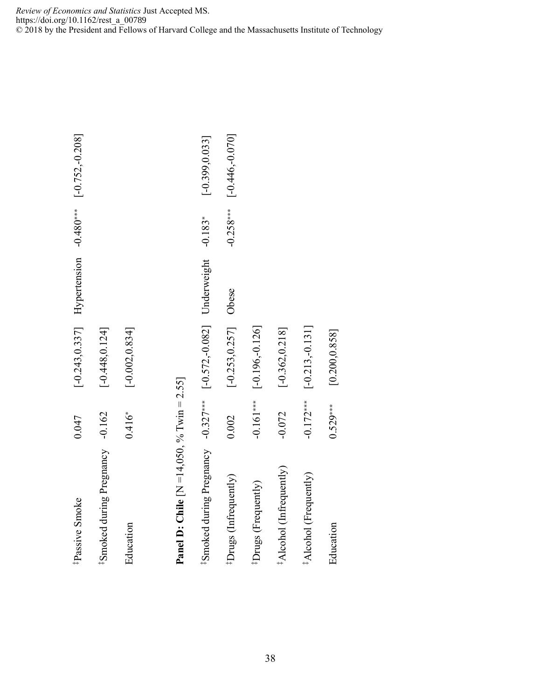| ‡Passive Smoke                                    | 0.047       | $[-0.243, 0.337]$  |             |             | Hypertension -0.480*** [-0.752,-0.208] |
|---------------------------------------------------|-------------|--------------------|-------------|-------------|----------------------------------------|
| <sup>‡</sup> Smoked during Pregnancy              | $-0.162$    | $[-0.448, 0.124]$  |             |             |                                        |
| Education                                         | $0.416*$    | $[-0.002, 0.834]$  |             |             |                                        |
|                                                   |             |                    |             |             |                                        |
| <b>Panel D: Chile</b> [N = 14,050, % Twin = 2.55] |             |                    |             |             |                                        |
| <sup>‡</sup> Smoked during Pregnancy -0.327****   |             | $[-0.572, -0.082]$ | Underweight | $-0.183*$   | $[-0.399, 0.033]$                      |
| <sup>‡</sup> Drugs (Infrequently)                 | 0.002       | $[-0.253, 0.257]$  | Obese       | $-0.258***$ | $[-0.446, 0.070]$                      |
| <sup>‡</sup> Drugs (Frequently)                   | $-0.161***$ | $[-0.196, 0.126]$  |             |             |                                        |
| #Alcohol (Infrequently)                           | $-0.072$    | $[-0.362, 0.218]$  |             |             |                                        |
| #Alcohol (Frequently)                             | $-0.172***$ | $[-0.213,-0.131]$  |             |             |                                        |
| Education                                         | $0.529***$  | [0.200, 0.858]     |             |             |                                        |
|                                                   |             |                    |             |             |                                        |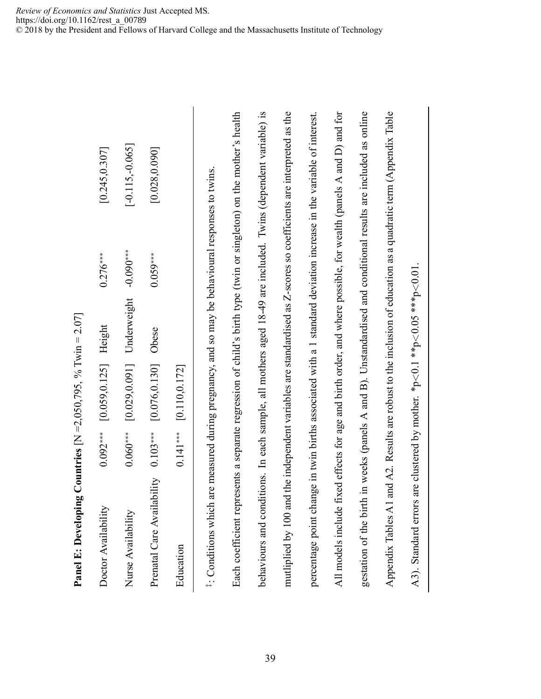Panel E: Developing Countries  $N = 2.050$  795  $\%$  Twin = 2.071 **Panel E: Developing Countries** [N =2,050,795, % Twin = 2.07]

| <b>LATER E:</b> DEVELOPMENT MANAGEMENT CONSTRUCTED: $\left[\frac{1}{2}, \frac{1}{2}, \frac{1}{2}, \frac{1}{2}, \frac{1}{2}\right]$ |                                                |            |                    |
|------------------------------------------------------------------------------------------------------------------------------------|------------------------------------------------|------------|--------------------|
| Doctor Availability                                                                                                                | $0.092***$ [0.059,0.125] Height                | $0.276***$ | [0.245, 0.307]     |
| Nurse Availability                                                                                                                 | $0.060***$ [0.029,0.091] Underweight -0.090*** |            | $[-0.115, -0.065]$ |
| Prenatal Care Availability 0.103*** [0.076,0.130] Obese                                                                            |                                                | $0.059***$ | [0.028, 0.090]     |
| Education                                                                                                                          | $0.141***$ [0.110,0.172]                       |            |                    |

behaviours and conditions. In each sample, all mothers aged 18-49 are included. Twins (dependent variable) is behaviours and conditions. In each sample, all mothers aged 18-49 are included. Twins (dependent variable) is Appendix Tables A1 and A2. Results are robust to the inclusion of education as a quadratic term (Appendix Table Each coefficient represents a separate regression of child's birth type (twin or singleton) on the mother's health Each coefficient represents a separate regression of child's birth type (twin or singleton) on the mother's health mutliplied by 100 and the independent variables are standardised as Z-scores so coefficients are interpreted as the All models include fixed effects for age and birth order, and where possible, for wealth (panels A and D) and for All models include fixed effects for age and birth order, and where possible, for wealth (panels A and D) and for gestation of the birth in weeks (panels A and B). Unstandardised and conditional results are included as online mutliplied by 100 and the independent variables are standardised as Z-scores so coefficients are interpreted as the percentage point change in twin births associated with a 1 standard deviation increase in the variable of interest. percentage point change in twin births associated with a 1 standard deviation increase in the variable of interest. gestation of the birth in weeks (panels A and B). Unstandardised and conditional results are included as online Appendix Tables A1 and A2. Results are robust to the inclusion of education as a quadratic term (Appendix Table <sup>‡</sup>: Conditions which are measured during pregnancy, and so may be behavioural responses to twins. *‡*: Conditions which are measured during pregnancy, and so may be behavioural responses to twins. A3). Standard errors are clustered by mother. \*p<0.1 \*\*p<0.05 \*\*\*p<0.01 A3). Standard errors are clustered by mother. \*p*<*0.1 \*\*p*<*0.05 \*\*\*p*<*0.01.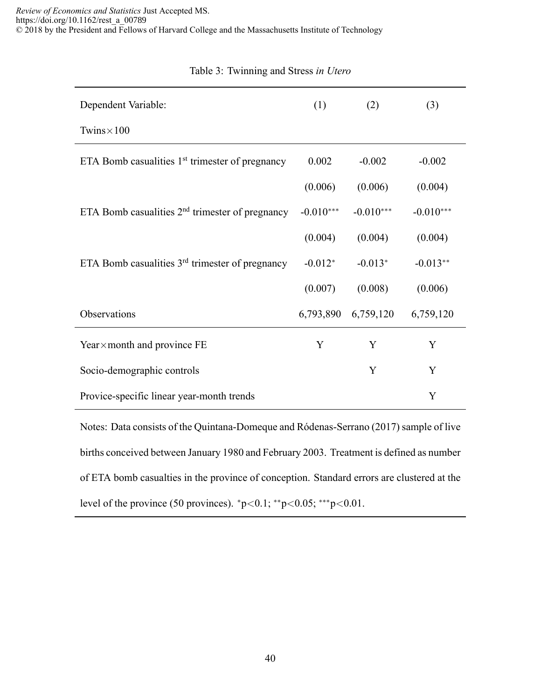<span id="page-39-0"></span>

| Dependent Variable:                               | (1)         | (2)         | (3)         |
|---------------------------------------------------|-------------|-------------|-------------|
| Twins $\times 100$                                |             |             |             |
| ETA Bomb casualities $1st$ trimester of pregnancy | 0.002       | $-0.002$    | $-0.002$    |
|                                                   | (0.006)     | (0.006)     | (0.004)     |
| ETA Bomb casualities $2nd$ trimester of pregnancy | $-0.010***$ | $-0.010***$ | $-0.010***$ |
|                                                   | (0.004)     | (0.004)     | (0.004)     |
| ETA Bomb casualities $3rd$ trimester of pregnancy | $-0.012*$   | $-0.013*$   | $-0.013**$  |
|                                                   | (0.007)     | (0.008)     | (0.006)     |
| Observations                                      | 6,793,890   | 6,759,120   | 6,759,120   |
| Year × month and province FE                      | Y           | Y           | Y           |
| Socio-demographic controls                        |             | Y           | Y           |
| Provice-specific linear year-month trends         |             |             | Y           |

Notes: Data consists of the [Quintana-Domeque and Ródenas-Serrano](#page-29-5) ([2017\)](#page-29-5) sample of live births conceived between January 1980 and February 2003. Treatment is defined as number of ETA bomb casualties in the province of conception. Standard errors are clustered at the level of the province (50 provinces). *<sup>∗</sup>*p*<*0.1; *∗∗*p*<*0.05; *∗∗∗*p*<*0.01.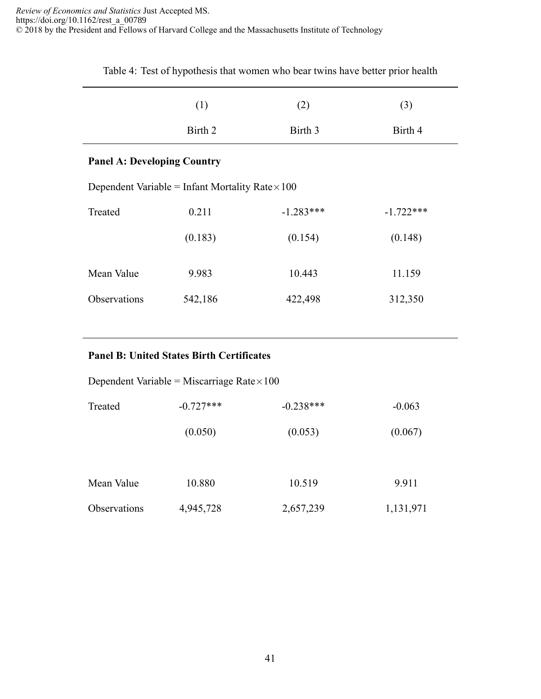<span id="page-40-0"></span>

|                                    | (1)                                                     | (2)         | (3)         |
|------------------------------------|---------------------------------------------------------|-------------|-------------|
|                                    | Birth 2                                                 | Birth 3     | Birth 4     |
| <b>Panel A: Developing Country</b> |                                                         |             |             |
|                                    | Dependent Variable = Infant Mortality Rate $\times$ 100 |             |             |
| Treated                            | 0.211                                                   | $-1.283***$ | $-1.722***$ |
|                                    | (0.183)                                                 | (0.154)     | (0.148)     |
| Mean Value                         | 9.983                                                   | 10.443      | 11.159      |
| Observations                       | 542,186                                                 | 422,498     | 312,350     |
|                                    |                                                         |             |             |

|  | Table 4: Test of hypothesis that women who bear twins have better prior health |  |  |  |  |  |
|--|--------------------------------------------------------------------------------|--|--|--|--|--|
|  |                                                                                |  |  |  |  |  |

# **Panel B: United States Birth Certificates**

|                     | Dependent Variable = Miscarriage Rate $\times 100$ |             |           |
|---------------------|----------------------------------------------------|-------------|-----------|
| Treated             | $-0.727***$                                        | $-0.238***$ | $-0.063$  |
|                     | (0.050)                                            | (0.053)     | (0.067)   |
| Mean Value          | 10.880                                             | 10.519      | 9.911     |
| <b>Observations</b> | 4,945,728                                          | 2,657,239   | 1,131,971 |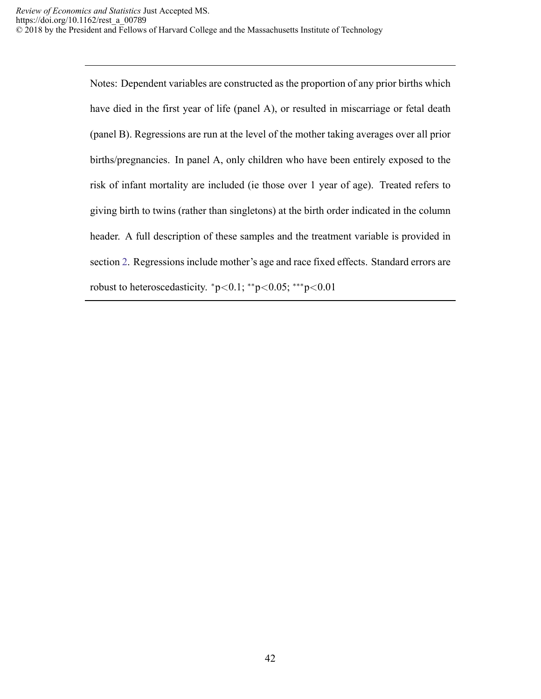Notes: Dependent variables are constructed as the proportion of any prior births which have died in the first year of life (panel A), or resulted in miscarriage or fetal death (panel B). Regressions are run at the level of the mother taking averages over all prior births/pregnancies. In panel A, only children who have been entirely exposed to the risk of infant mortality are included (ie those over 1 year of age). Treated refers to giving birth to twins (rather than singletons) at the birth order indicated in the column header. A full description of these samples and the treatment variable is provided in section [2](#page-5-0). Regressions include mother's age and race fixed effects. Standard errors are robust to heteroscedasticity. *<sup>∗</sup>*p*<*0.1; *∗∗*p*<*0.05; *∗∗∗*p*<*0.01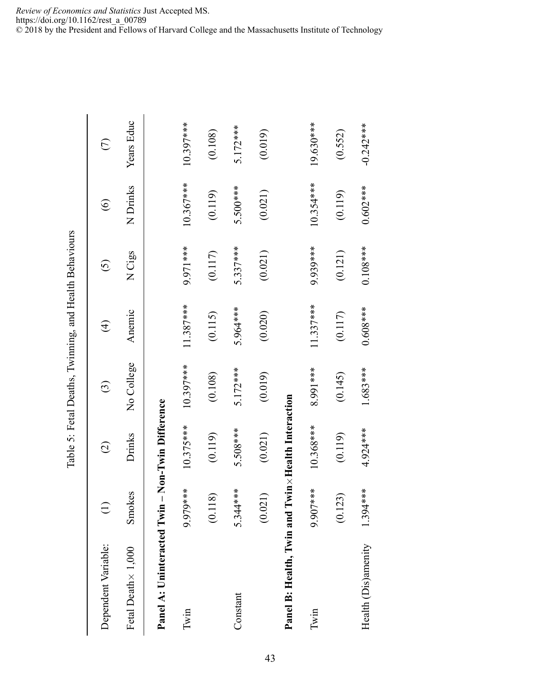*Review of Economics and Statistics* Just Accepted MS . https : //doi.or g /10.1162 /rest\_a\_00789 © 2018 by the President and Fellows of Harvard College and the Massachusetts Institute of Technology

|                                                  |                          |                           | Table 5: Fetal Deaths, Twinning, and Health Behaviours |                         |                |                   |                     |
|--------------------------------------------------|--------------------------|---------------------------|--------------------------------------------------------|-------------------------|----------------|-------------------|---------------------|
| Dependent Variable:                              |                          | $\widehat{C}$             | $\widehat{\mathbb{C}}$                                 | $\widehat{\mathcal{F}}$ | $\overline{6}$ | $\widehat{\odot}$ | $\widehat{\subset}$ |
| Fetal Death $\times$ 1,000                       | Smokes                   | Drinks                    | No College                                             | Anemic                  | N Cigs         | N Drinks          | Years Educ          |
| Panel A: Uninteracted Twin - Non-Twin Difference |                          |                           |                                                        |                         |                |                   |                     |
| Twin                                             | ****(<br>9.979           | $10.375***$               | 10.397****                                             | $11.387***$             | 9.971 ***      | $10.367***$       | $10.397***$         |
|                                                  | (18)<br>$\overline{6}$   | (0.119)                   | (0.108)                                                | (0.115)                 | (0.117)        | (0.119)           | (0.108)             |
| Constant                                         | 1***<br>5.344            | 5.508****                 | 5.172***                                               | 5.964 ***               | 5.337***       | 5.500***          | 5.172****           |
|                                                  | (0.021)                  | (0.021)                   | (0.019)                                                | (0.020)                 | (0.021)        | (0.021)           | (0.019)             |
| Panel B: Health, Twin and                        |                          | Twin × Health Interaction |                                                        |                         |                |                   |                     |
| Twin                                             | 9.907***                 | $10.368***$               | 8.991 ***                                              | $11.337***$             | 9.939***       | $10.354***$       | $19.630***$         |
|                                                  | 123)<br>$\overline{0}$ . | (0.119)                   | (0.145)                                                | (0.117)                 | (0.121)        | (0.119)           | (0.552)             |
| Health (Dis)amenity                              | 1.394****                | 4.924 ***                 | $1.683***$                                             | $0.608***$              | $0.108***$     | $0.602***$        | $-0.242***$         |

<span id="page-42-0"></span>Table 5: Fetal Deaths, Twinning, and Health Behaviours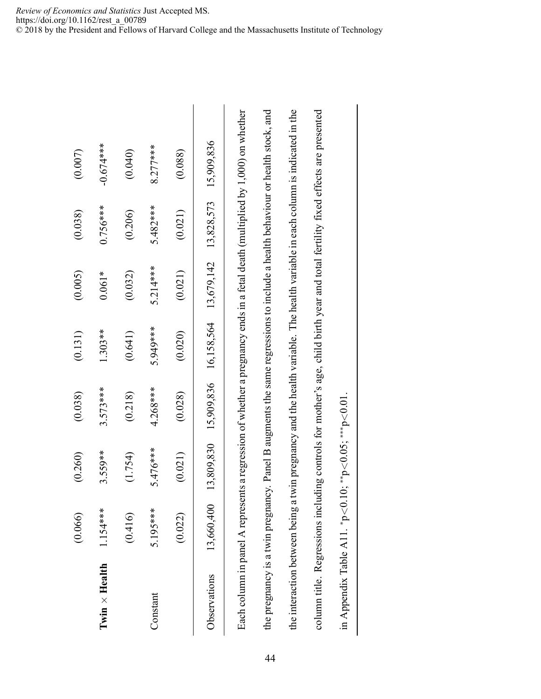https://doi.org/10.1162/rest\_a\_00789 © 2018 by the President and Fellows of Harvard College and the Massachusetts Institute of Technology

*Review of Economics and Statistics* Just Accepted MS.

|                                                                     | (0.066)    | (0.260)    | (0.038)    | (0.131)    | (0.005)    | (0.038)    | (0.007)                                                                                                                         |
|---------------------------------------------------------------------|------------|------------|------------|------------|------------|------------|---------------------------------------------------------------------------------------------------------------------------------|
| Twin $\times$ Health                                                | $1.154***$ | $3.559**$  | $3.573***$ | $1.303**$  | $0.061*$   | $0.756***$ | $-0.674***$                                                                                                                     |
|                                                                     | (0.416)    | (1.754)    | (0.218)    | (0.641)    | (0.032)    | (0.206)    | (0.040)                                                                                                                         |
| Constant                                                            | 5.195***   | 5.476***   | 4.268***   | 5.949***   | 5.214 ***  | 5.482***   | $8.277***$                                                                                                                      |
|                                                                     | (0.022)    | (0.021)    | (0.028)    | (0.020)    | (0.021)    | (0.021)    | (0.088)                                                                                                                         |
| Observations                                                        | 13,660,400 | 13,809,830 | 15,909,836 | 16,158,564 | 13,679,142 | 13,828,573 | 15,909,836                                                                                                                      |
|                                                                     |            |            |            |            |            |            | Each column in panel A represents a regression of whether a pregnancy ends in a fetal death (multiplied by 1,000) on whether    |
| the pregnancy is a twin pregnan                                     |            |            |            |            |            |            | cy. Panel B augments the same regressions to include a health behaviour or health stock, and                                    |
| the interaction between being a                                     |            |            |            |            |            |            | twin pregnancy and the health variable. The health variable in each column is indicated in the                                  |
|                                                                     |            |            |            |            |            |            | column title. Regressions including controls for mother's age, child birth year and total fertility fixed effects are presented |
| in Appendix Table A11. * $p < 0.10$ ; ** $p < 0.05$ ; ** $p < 0.01$ |            |            |            |            |            |            |                                                                                                                                 |